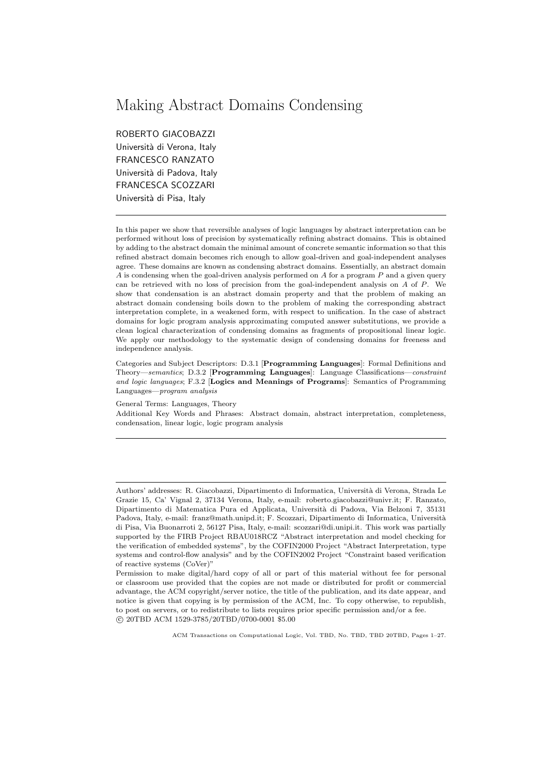# Making Abstract Domains Condensing

ROBERTO GIACOBAZZI Università di Verona, Italy FRANCESCO RANZATO Università di Padova, Italy FRANCESCA SCOZZARI Università di Pisa, Italy

In this paper we show that reversible analyses of logic languages by abstract interpretation can be performed without loss of precision by systematically refining abstract domains. This is obtained by adding to the abstract domain the minimal amount of concrete semantic information so that this refined abstract domain becomes rich enough to allow goal-driven and goal-independent analyses agree. These domains are known as condensing abstract domains. Essentially, an abstract domain  $A$  is condensing when the goal-driven analysis performed on  $A$  for a program  $P$  and a given query can be retrieved with no loss of precision from the goal-independent analysis on A of P. We show that condensation is an abstract domain property and that the problem of making an abstract domain condensing boils down to the problem of making the corresponding abstract interpretation complete, in a weakened form, with respect to unification. In the case of abstract domains for logic program analysis approximating computed answer substitutions, we provide a clean logical characterization of condensing domains as fragments of propositional linear logic. We apply our methodology to the systematic design of condensing domains for freeness and independence analysis.

Categories and Subject Descriptors: D.3.1 [Programming Languages]: Formal Definitions and Theory—semantics; D.3.2 [Programming Languages]: Language Classifications—constraint and logic languages; F.3.2 [Logics and Meanings of Programs]: Semantics of Programming Languages—program analysis

General Terms: Languages, Theory

Additional Key Words and Phrases: Abstract domain, abstract interpretation, completeness, condensation, linear logic, logic program analysis

Authors' addresses: R. Giacobazzi, Dipartimento di Informatica, Università di Verona, Strada Le Grazie 15, Ca' Vignal 2, 37134 Verona, Italy, e-mail: roberto.giacobazzi@univr.it; F. Ranzato, Dipartimento di Matematica Pura ed Applicata, Universit`a di Padova, Via Belzoni 7, 35131 Padova, Italy, e-mail: franz@math.unipd.it; F. Scozzari, Dipartimento di Informatica, Università di Pisa, Via Buonarroti 2, 56127 Pisa, Italy, e-mail: scozzari@di.unipi.it. This work was partially supported by the FIRB Project RBAU018RCZ "Abstract interpretation and model checking for the verification of embedded systems", by the COFIN2000 Project "Abstract Interpretation, type systems and control-flow analysis" and by the COFIN2002 Project "Constraint based verification of reactive systems (CoVer)"

Permission to make digital/hard copy of all or part of this material without fee for personal or classroom use provided that the copies are not made or distributed for profit or commercial advantage, the ACM copyright/server notice, the title of the publication, and its date appear, and notice is given that copying is by permission of the ACM, Inc. To copy otherwise, to republish, to post on servers, or to redistribute to lists requires prior specific permission and/or a fee. c 20TBD ACM 1529-3785/20TBD/0700-0001 \$5.00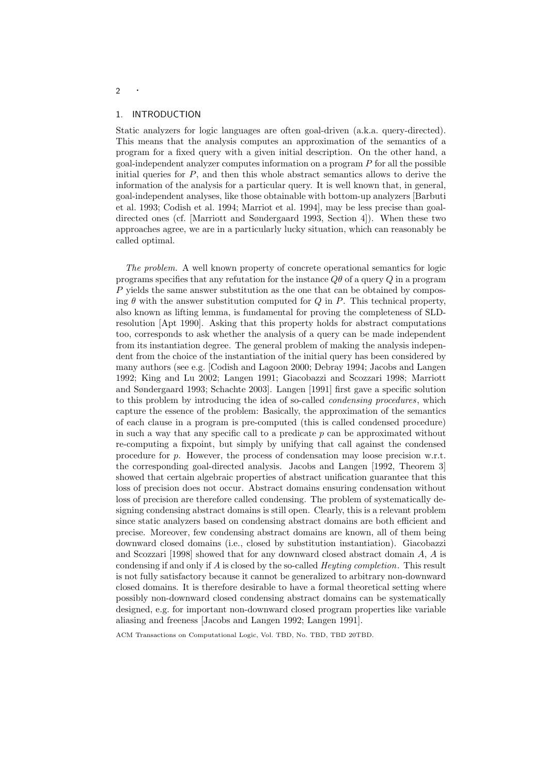# 1. INTRODUCTION

Static analyzers for logic languages are often goal-driven (a.k.a. query-directed). This means that the analysis computes an approximation of the semantics of a program for a fixed query with a given initial description. On the other hand, a  $g$ oal-independent analyzer computes information on a program  $P$  for all the possible initial queries for  $P$ , and then this whole abstract semantics allows to derive the information of the analysis for a particular query. It is well known that, in general, goal-independent analyses, like those obtainable with bottom-up analyzers [Barbuti et al. 1993; Codish et al. 1994; Marriot et al. 1994], may be less precise than goaldirected ones (cf. [Marriott and Søndergaard 1993, Section 4]). When these two approaches agree, we are in a particularly lucky situation, which can reasonably be called optimal.

The problem. A well known property of concrete operational semantics for logic programs specifies that any refutation for the instance  $Q\theta$  of a query Q in a program  $P$  yields the same answer substitution as the one that can be obtained by composing  $\theta$  with the answer substitution computed for Q in P. This technical property, also known as lifting lemma, is fundamental for proving the completeness of SLDresolution [Apt 1990]. Asking that this property holds for abstract computations too, corresponds to ask whether the analysis of a query can be made independent from its instantiation degree. The general problem of making the analysis independent from the choice of the instantiation of the initial query has been considered by many authors (see e.g. [Codish and Lagoon 2000; Debray 1994; Jacobs and Langen 1992; King and Lu 2002; Langen 1991; Giacobazzi and Scozzari 1998; Marriott and Søndergaard 1993; Schachte 2003]. Langen [1991] first gave a specific solution to this problem by introducing the idea of so-called condensing procedures, which capture the essence of the problem: Basically, the approximation of the semantics of each clause in a program is pre-computed (this is called condensed procedure) in such a way that any specific call to a predicate  $p$  can be approximated without re-computing a fixpoint, but simply by unifying that call against the condensed procedure for p. However, the process of condensation may loose precision w.r.t. the corresponding goal-directed analysis. Jacobs and Langen [1992, Theorem 3] showed that certain algebraic properties of abstract unification guarantee that this loss of precision does not occur. Abstract domains ensuring condensation without loss of precision are therefore called condensing. The problem of systematically designing condensing abstract domains is still open. Clearly, this is a relevant problem since static analyzers based on condensing abstract domains are both efficient and precise. Moreover, few condensing abstract domains are known, all of them being downward closed domains (i.e., closed by substitution instantiation). Giacobazzi and Scozzari [1998] showed that for any downward closed abstract domain  $A, A$  is condensing if and only if A is closed by the so-called Heyting completion. This result is not fully satisfactory because it cannot be generalized to arbitrary non-downward closed domains. It is therefore desirable to have a formal theoretical setting where possibly non-downward closed condensing abstract domains can be systematically designed, e.g. for important non-downward closed program properties like variable aliasing and freeness [Jacobs and Langen 1992; Langen 1991].

ACM Transactions on Computational Logic, Vol. TBD, No. TBD, TBD 20TBD.

#### <sup>2</sup> ·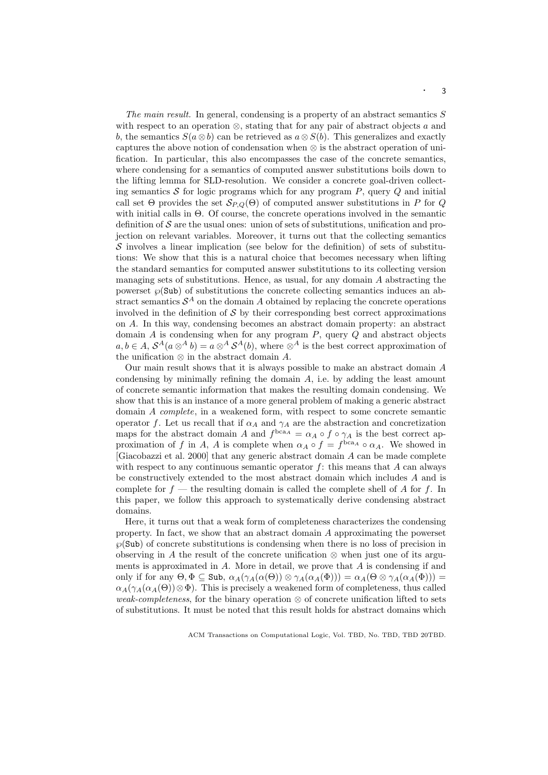The main result. In general, condensing is a property of an abstract semantics S with respect to an operation  $\otimes$ , stating that for any pair of abstract objects a and b, the semantics  $S(a \otimes b)$  can be retrieved as  $a \otimes S(b)$ . This generalizes and exactly captures the above notion of condensation when ⊗ is the abstract operation of unification. In particular, this also encompasses the case of the concrete semantics, where condensing for a semantics of computed answer substitutions boils down to the lifting lemma for SLD-resolution. We consider a concrete goal-driven collecting semantics  $S$  for logic programs which for any program  $P$ , query  $Q$  and initial call set  $\Theta$  provides the set  $\mathcal{S}_{P,Q}(\Theta)$  of computed answer substitutions in P for Q with initial calls in Θ. Of course, the concrete operations involved in the semantic definition of  $\mathcal S$  are the usual ones: union of sets of substitutions, unification and projection on relevant variables. Moreover, it turns out that the collecting semantics  $\mathcal S$  involves a linear implication (see below for the definition) of sets of substitutions: We show that this is a natural choice that becomes necessary when lifting the standard semantics for computed answer substitutions to its collecting version managing sets of substitutions. Hence, as usual, for any domain  $A$  abstracting the powerset  $\wp(\text{Sub})$  of substitutions the concrete collecting semantics induces an abstract semantics  $S^A$  on the domain A obtained by replacing the concrete operations involved in the definition of  $\mathcal S$  by their corresponding best correct approximations on A. In this way, condensing becomes an abstract domain property: an abstract domain  $A$  is condensing when for any program  $P$ , query  $Q$  and abstract objects  $a, b \in A$ ,  $S^A(a \otimes^A b) = a \otimes^A S^A(b)$ , where  $\otimes^A$  is the best correct approximation of the unification  $\otimes$  in the abstract domain A.

Our main result shows that it is always possible to make an abstract domain A condensing by minimally refining the domain A, i.e. by adding the least amount of concrete semantic information that makes the resulting domain condensing. We show that this is an instance of a more general problem of making a generic abstract domain A complete, in a weakened form, with respect to some concrete semantic operator f. Let us recall that if  $\alpha_A$  and  $\gamma_A$  are the abstraction and concretization maps for the abstract domain A and  $f^{bca_A} = \alpha_A \circ f \circ \gamma_A$  is the best correct approximation of f in A, A is complete when  $\alpha_A \circ f = f^{\text{bca}_A} \circ \alpha_A$ . We showed in [Giacobazzi et al. 2000] that any generic abstract domain A can be made complete with respect to any continuous semantic operator  $f$ : this means that  $A$  can always be constructively extended to the most abstract domain which includes A and is complete for  $f$  — the resulting domain is called the complete shell of A for f. In this paper, we follow this approach to systematically derive condensing abstract domains.

Here, it turns out that a weak form of completeness characterizes the condensing property. In fact, we show that an abstract domain A approximating the powerset  $\wp(\text{Sub})$  of concrete substitutions is condensing when there is no loss of precision in observing in A the result of the concrete unification  $\otimes$  when just one of its arguments is approximated in  $A$ . More in detail, we prove that  $A$  is condensing if and only if for any  $\Theta$ ,  $\Phi \subseteq$  Sub,  $\alpha_A(\gamma_A(\alpha(\Theta)) \otimes \gamma_A(\alpha_A(\Phi))) = \alpha_A(\Theta \otimes \gamma_A(\alpha_A(\Phi))) =$  $\alpha_A(\gamma_A(\alpha_A(\Theta))\otimes\Phi)$ . This is precisely a weakened form of completeness, thus called weak-completeness, for the binary operation  $\otimes$  of concrete unification lifted to sets of substitutions. It must be noted that this result holds for abstract domains which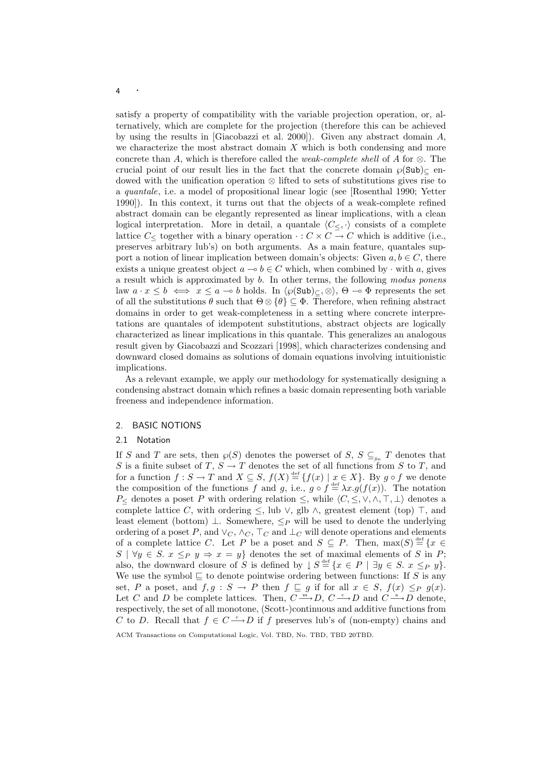satisfy a property of compatibility with the variable projection operation, or, alternatively, which are complete for the projection (therefore this can be achieved by using the results in [Giacobazzi et al. 2000]). Given any abstract domain  $A$ , we characterize the most abstract domain  $X$  which is both condensing and more concrete than A, which is therefore called the *weak-complete shell* of A for  $\otimes$ . The crucial point of our result lies in the fact that the concrete domain  $\wp(\text{Sub})_{\subset \text{en}}$ dowed with the unification operation ⊗ lifted to sets of substitutions gives rise to a quantale, i.e. a model of propositional linear logic (see [Rosenthal 1990; Yetter 1990]). In this context, it turns out that the objects of a weak-complete refined abstract domain can be elegantly represented as linear implications, with a clean logical interpretation. More in detail, a quantale  $\langle C_{\leq}, \cdot \rangle$  consists of a complete lattice  $C_{\leq}$  together with a binary operation  $\cdot : C \times C \rightarrow C$  which is additive (i.e., preserves arbitrary lub's) on both arguments. As a main feature, quantales support a notion of linear implication between domain's objects: Given  $a, b \in C$ , there exists a unique greatest object  $a \to b \in C$  which, when combined by  $\cdot$  with a, gives a result which is approximated by b. In other terms, the following modus ponens law  $a \cdot x \leq b \iff x \leq a \to b$  holds. In  $\langle \varphi(\text{Sub}) \rangle_C, \otimes \rangle$ ,  $\Theta \to \Phi$  represents the set of all the substitutions  $\theta$  such that  $\Theta \otimes {\theta} \subseteq \Phi$ . Therefore, when refining abstract domains in order to get weak-completeness in a setting where concrete interpretations are quantales of idempotent substitutions, abstract objects are logically characterized as linear implications in this quantale. This generalizes an analogous result given by Giacobazzi and Scozzari [1998], which characterizes condensing and downward closed domains as solutions of domain equations involving intuitionistic implications.

As a relevant example, we apply our methodology for systematically designing a condensing abstract domain which refines a basic domain representing both variable freeness and independence information.

# 2. BASIC NOTIONS

## 2.1 Notation

If S and T are sets, then  $\wp(S)$  denotes the powerset of S,  $S \subseteq_{\text{fin}} T$  denotes that S is a finite subset of T,  $S \to T$  denotes the set of all functions from S to T, and for a function  $f: S \to T$  and  $X \subseteq S$ ,  $f(X) \stackrel{\text{def}}{=} \{f(x) \mid x \in X\}$ . By  $g \circ f$  we denote the composition of the functions f and g, i.e.,  $g \circ f \stackrel{\text{def}}{=} \lambda x. g(f(x))$ . The notation P<sub><</sub> denotes a poset P with ordering relation  $\leq$ , while  $\langle C, \leq, \vee, \wedge, \top, \bot \rangle$  denotes a complete lattice C, with ordering  $\leq$ , lub  $\vee$ , glb  $\wedge$ , greatest element (top)  $\top$ , and least element (bottom)  $\perp$ . Somewhere,  $\leq_P$  will be used to denote the underlying ordering of a poset P, and  $\vee_C$ ,  $\wedge_C$ ,  $\top_C$  and  $\bot_C$  will denote operations and elements of a complete lattice C. Let P be a poset and  $S \subseteq P$ . Then,  $\max(S) \stackrel{\text{def}}{=} \{x \in$  $S \mid \forall y \in S$ .  $x \leq_P y \Rightarrow x = y$  denotes the set of maximal elements of S in P; also, the downward closure of S is defined by  $\downarrow S \stackrel{\text{def}}{=} \{x \in P \mid \exists y \in S. \ x \leq_P y\}.$ We use the symbol  $\subseteq$  to denote pointwise ordering between functions: If S is any set, P a poset, and  $f, g : S \to P$  then  $f \sqsubseteq g$  if for all  $x \in S$ ,  $f(x) \leq_P g(x)$ . Let C and D be complete lattices. Then,  $C \xrightarrow{m} D$ ,  $C \xrightarrow{c} D$  and  $C \xrightarrow{a} D$  denote, respectively, the set of all monotone, (Scott-)continuous and additive functions from C to D. Recall that  $f \in C \longrightarrow D$  if f preserves lub's of (non-empty) chains and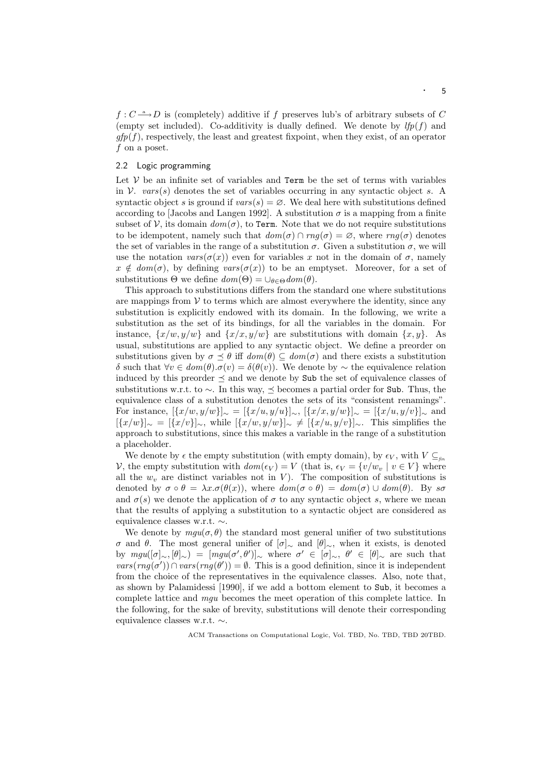$f: C \longrightarrow D$  is (completely) additive if f preserves lub's of arbitrary subsets of C (empty set included). Co-additivity is dually defined. We denote by  $lfp(f)$  and  $qfp(f)$ , respectively, the least and greatest fixpoint, when they exist, of an operator f on a poset.

# 2.2 Logic programming

Let  $V$  be an infinite set of variables and  $Term$  be the set of terms with variables in V.  $vars(s)$  denotes the set of variables occurring in any syntactic object s. A syntactic object s is ground if  $vars(s) = \emptyset$ . We deal here with substitutions defined according to [Jacobs and Langen 1992]. A substitution  $\sigma$  is a mapping from a finite subset of V, its domain  $dom(\sigma)$ , to Term. Note that we do not require substitutions to be idempotent, namely such that  $dom(\sigma) \cap rng(\sigma) = \emptyset$ , where  $rng(\sigma)$  denotes the set of variables in the range of a substitution  $\sigma$ . Given a substitution  $\sigma$ , we will use the notation  $vars(\sigma(x))$  even for variables x not in the domain of  $\sigma$ , namely  $x \notin dom(\sigma)$ , by defining  $vars(\sigma(x))$  to be an emptyset. Moreover, for a set of substitutions  $\Theta$  we define  $dom(\Theta) = \bigcup_{\theta \in \Theta} dom(\theta)$ .

This approach to substitutions differs from the standard one where substitutions are mappings from  $V$  to terms which are almost everywhere the identity, since any substitution is explicitly endowed with its domain. In the following, we write a substitution as the set of its bindings, for all the variables in the domain. For instance,  $\{x/w, y/w\}$  and  $\{x/x, y/w\}$  are substitutions with domain  $\{x, y\}$ . As usual, substitutions are applied to any syntactic object. We define a preorder on substitutions given by  $\sigma \preceq \theta$  iff  $dom(\theta) \subseteq dom(\sigma)$  and there exists a substitution δ such that ∀v ∈ dom(θ).σ(v) = δ(θ(v)). We denote by ∼ the equivalence relation induced by this preorder  $\prec$  and we denote by Sub the set of equivalence classes of substitutions w.r.t. to  $\sim$ . In this way,  $\preceq$  becomes a partial order for Sub. Thus, the equivalence class of a substitution denotes the sets of its "consistent renamings". For instance,  $[\{x/w, y/w\}]_{\sim} = [\{x/u, y/u\}]_{\sim}$ ,  $[\{x/x, y/w\}]_{\sim} = [\{x/u, y/v\}]_{\sim}$  and  $[\{x/w\}]_{\sim} = [\{x/v\}]_{\sim}$ , while  $[\{x/w, y/w\}]_{\sim} \neq [\{x/u, y/v\}]_{\sim}$ . This simplifies the approach to substitutions, since this makes a variable in the range of a substitution a placeholder.

We denote by  $\epsilon$  the empty substitution (with empty domain), by  $\epsilon_V$ , with  $V \subseteq_{\text{fin}}$ V, the empty substitution with  $dom(\epsilon_V) = V$  (that is,  $\epsilon_V = \{v/w_v \mid v \in V\}$  where all the  $w_v$  are distinct variables not in V). The composition of substitutions is denoted by  $\sigma \circ \theta = \lambda x.\sigma(\theta(x))$ , where  $dom(\sigma \circ \theta) = dom(\sigma) \cup dom(\theta)$ . By  $s\sigma$ and  $\sigma(s)$  we denote the application of  $\sigma$  to any syntactic object s, where we mean that the results of applying a substitution to a syntactic object are considered as equivalence classes w.r.t. ∼.

We denote by  $mgu(\sigma, \theta)$  the standard most general unifier of two substitutions σ and θ. The most general unifier of [σ]<sup>∼</sup> and [θ]∼, when it exists, is denoted by  $mgu([\sigma]_{\sim}, [\theta]_{\sim}) = [mgu(\sigma', \theta')]_{\sim}$  where  $\sigma' \in [\sigma]_{\sim}, \theta' \in [\theta]_{\sim}$  are such that  $vars(mg(\sigma')) \cap vars(mg(\theta')) = \emptyset$ . This is a good definition, since it is independent from the choice of the representatives in the equivalence classes. Also, note that, as shown by Palamidessi [1990], if we add a bottom element to Sub, it becomes a complete lattice and mgu becomes the meet operation of this complete lattice. In the following, for the sake of brevity, substitutions will denote their corresponding equivalence classes w.r.t. ∼.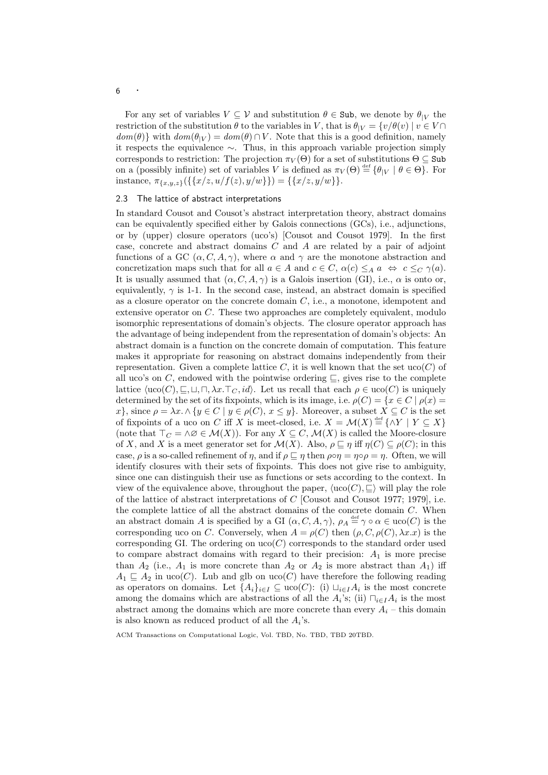For any set of variables  $V \subseteq V$  and substitution  $\theta \in \text{Sub}$ , we denote by  $\theta_{|V}$  the restriction of the substitution  $\theta$  to the variables in V, that is  $\theta_{|V} = \{v/\theta(v) \mid v \in V \cap$  $dom(\theta)$  with  $dom(\theta|_V) = dom(\theta) \cap V$ . Note that this is a good definition, namely it respects the equivalence ∼. Thus, in this approach variable projection simply corresponds to restriction: The projection  $\pi_V(\Theta)$  for a set of substitutions  $\Theta \subseteq$  Sub on a (possibly infinite) set of variables V is defined as  $\pi_V(\Theta) \stackrel{\text{def}}{=} {\{\theta|_V \mid \theta \in \Theta\}}$ . For instance,  $\pi_{\{x,y,z\}}(\{\{x/z, u/f(z), y/w\}\}) = \{\{x/z, y/w\}\}.$ 

## 2.3 The lattice of abstract interpretations

In standard Cousot and Cousot's abstract interpretation theory, abstract domains can be equivalently specified either by Galois connections (GCs), i.e., adjunctions, or by (upper) closure operators (uco's) [Cousot and Cousot 1979]. In the first case, concrete and abstract domains  $C$  and  $A$  are related by a pair of adjoint functions of a GC  $(\alpha, C, A, \gamma)$ , where  $\alpha$  and  $\gamma$  are the monotone abstraction and concretization maps such that for all  $a \in A$  and  $c \in C$ ,  $\alpha(c) \leq_A a \Leftrightarrow c \leq_C \gamma(a)$ . It is usually assumed that  $(\alpha, C, A, \gamma)$  is a Galois insertion (GI), i.e.,  $\alpha$  is onto or, equivalently,  $\gamma$  is 1-1. In the second case, instead, an abstract domain is specified as a closure operator on the concrete domain  $C$ , i.e., a monotone, idempotent and extensive operator on C. These two approaches are completely equivalent, modulo isomorphic representations of domain's objects. The closure operator approach has the advantage of being independent from the representation of domain's objects: An abstract domain is a function on the concrete domain of computation. This feature makes it appropriate for reasoning on abstract domains independently from their representation. Given a complete lattice C, it is well known that the set  $uco(C)$  of all uco's on C, endowed with the pointwise ordering  $\subseteq$ , gives rise to the complete lattice  $\langle \text{uco}(C), \underline{\sqsubseteq}, \sqcup, \sqcap, \lambda x. \top_C, id \rangle$ . Let us recall that each  $\rho \in \text{uco}(C)$  is uniquely determined by the set of its fixpoints, which is its image, i.e.  $\rho(C) = \{x \in C \mid \rho(x) =$ x}, since  $\rho = \lambda x. \wedge \{y \in C \mid y \in \rho(C), x \leq y\}$ . Moreover, a subset  $X \subseteq C$  is the set of fixpoints of a uco on C iff X is meet-closed, i.e.  $X = \mathcal{M}(X) \stackrel{\text{def}}{=} {\wedge} Y \mid Y \subseteq X$ (note that  $\top_C = \land \varnothing \in \mathcal{M}(X)$ ). For any  $X \subseteq C$ ,  $\mathcal{M}(X)$  is called the Moore-closure of X, and X is a meet generator set for  $\mathcal{M}(X)$ . Also,  $\rho \sqsubseteq \eta$  iff  $\eta(C) \subseteq \rho(C)$ ; in this case,  $\rho$  is a so-called refinement of  $\eta$ , and if  $\rho \sqsubseteq \eta$  then  $\rho \circ \eta = \eta \circ \rho = \eta$ . Often, we will identify closures with their sets of fixpoints. This does not give rise to ambiguity, since one can distinguish their use as functions or sets according to the context. In view of the equivalence above, throughout the paper,  $\langle \text{uco}(C), \underline{\sqsubset} \rangle$  will play the role of the lattice of abstract interpretations of C [Cousot and Cousot 1977; 1979], i.e. the complete lattice of all the abstract domains of the concrete domain C. When an abstract domain A is specified by a GI  $(\alpha, C, A, \gamma)$ ,  $\rho_A \stackrel{\text{def}}{=} \gamma \circ \alpha \in \text{uco}(C)$  is the corresponding uco on C. Conversely, when  $A = \rho(C)$  then  $(\rho, C, \rho(C), \lambda x.x)$  is the corresponding GI. The ordering on  $uco(C)$  corresponds to the standard order used to compare abstract domains with regard to their precision:  $A_1$  is more precise than  $A_2$  (i.e.,  $A_1$  is more concrete than  $A_2$  or  $A_2$  is more abstract than  $A_1$ ) iff  $A_1 \subseteq A_2$  in uco(C). Lub and glb on uco(C) have therefore the following reading as operators on domains. Let  $\{A_i\}_{i\in I}\subseteq \text{uco}(C)$ : (i)  $\sqcup_{i\in I}A_i$  is the most concrete among the domains which are abstractions of all the  $A_i$ 's; (ii)  $\Box_{i\in I}A_i$  is the most abstract among the domains which are more concrete than every  $A_i$  – this domain is also known as reduced product of all the  $A_i$ 's.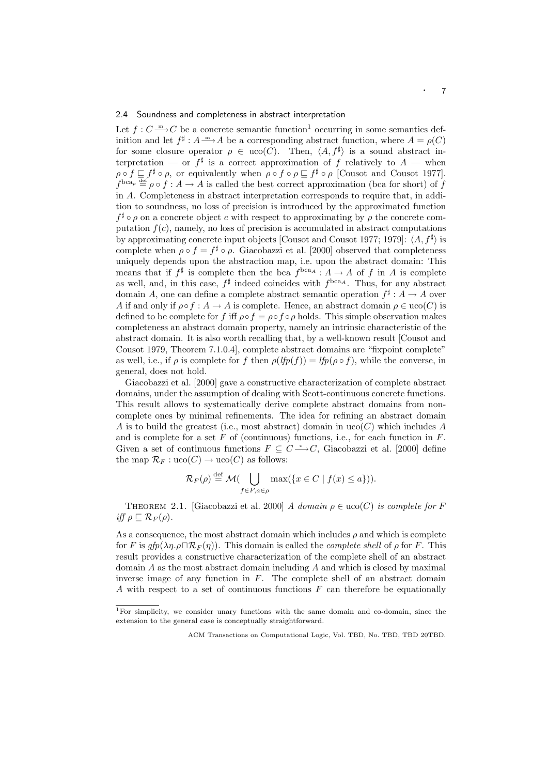## 2.4 Soundness and completeness in abstract interpretation

Let  $f: C \longrightarrow C$  be a concrete semantic function<sup>1</sup> occurring in some semantics definition and let  $f^{\sharp}: A \longrightarrow A$  be a corresponding abstract function, where  $A = \rho(C)$ for some closure operator  $\rho \in uco(C)$ . Then,  $\langle A, f^{\sharp} \rangle$  is a sound abstract interpretation — or  $f^{\sharp}$  is a correct approximation of f relatively to  $A$  — when  $\rho \circ f \sqsubseteq f^{\sharp} \circ \rho$ , or equivalently when  $\rho \circ f \circ \rho \sqsubseteq f^{\sharp} \circ \rho$  [Cousot and Cousot 1977].  $f^{\text{bca}_{\rho}} \stackrel{\text{def}}{=} \rho \circ f : A \to A$  is called the best correct approximation (bca for short) of f in A. Completeness in abstract interpretation corresponds to require that, in addition to soundness, no loss of precision is introduced by the approximated function  $f^{\sharp} \circ \rho$  on a concrete object c with respect to approximating by  $\rho$  the concrete computation  $f(c)$ , namely, no loss of precision is accumulated in abstract computations by approximating concrete input objects [Cousot and Cousot 1977; 1979]:  $\langle A, f^{\sharp} \rangle$  is complete when  $\rho \circ f = f^{\sharp} \circ \rho$ . Giacobazzi et al. [2000] observed that completeness uniquely depends upon the abstraction map, i.e. upon the abstract domain: This means that if  $f^{\sharp}$  is complete then the bca  $f^{bca_A}: A \to A$  of f in A is complete as well, and, in this case,  $f^{\sharp}$  indeed coincides with  $f^{bca_A}$ . Thus, for any abstract domain A, one can define a complete abstract semantic operation  $f^{\sharp}: A \to A$  over A if and only if  $\rho \circ f : A \to A$  is complete. Hence, an abstract domain  $\rho \in \text{uco}(C)$  is defined to be complete for f iff  $\rho \circ f = \rho \circ f \circ \rho$  holds. This simple observation makes completeness an abstract domain property, namely an intrinsic characteristic of the abstract domain. It is also worth recalling that, by a well-known result [Cousot and Cousot 1979, Theorem 7.1.0.4], complete abstract domains are "fixpoint complete" as well, i.e., if  $\rho$  is complete for f then  $\rho(lfp(f)) = lfp(\rho \circ f)$ , while the converse, in general, does not hold.

Giacobazzi et al. [2000] gave a constructive characterization of complete abstract domains, under the assumption of dealing with Scott-continuous concrete functions. This result allows to systematically derive complete abstract domains from noncomplete ones by minimal refinements. The idea for refining an abstract domain A is to build the greatest (i.e., most abstract) domain in  $uco(C)$  which includes A and is complete for a set  $F$  of (continuous) functions, i.e., for each function in  $F$ . Given a set of continuous functions  $F \subseteq C \longrightarrow C$ , Giacobazzi et al. [2000] define the map  $\mathcal{R}_F : \text{uco}(C) \to \text{uco}(C)$  as follows:

$$
\mathcal{R}_F(\rho) \stackrel{\text{def}}{=} \mathcal{M}(\bigcup_{f \in F, a \in \rho} \max(\{x \in C \mid f(x) \le a\})).
$$

THEOREM 2.1. [Giacobazzi et al. 2000] A domain  $\rho \in \text{uco}(C)$  is complete for F iff  $\rho \sqsubseteq \mathcal{R}_F(\rho)$ .

As a consequence, the most abstract domain which includes  $\rho$  and which is complete for F is  $gfp(\lambda\eta.\rho\Box \mathcal{R}_F(\eta))$ . This domain is called the *complete shell* of  $\rho$  for F. This result provides a constructive characterization of the complete shell of an abstract domain  $A$  as the most abstract domain including  $A$  and which is closed by maximal inverse image of any function in  $F$ . The complete shell of an abstract domain A with respect to a set of continuous functions  $F$  can therefore be equationally

<sup>1</sup>For simplicity, we consider unary functions with the same domain and co-domain, since the extension to the general case is conceptually straightforward.

ACM Transactions on Computational Logic, Vol. TBD, No. TBD, TBD 20TBD.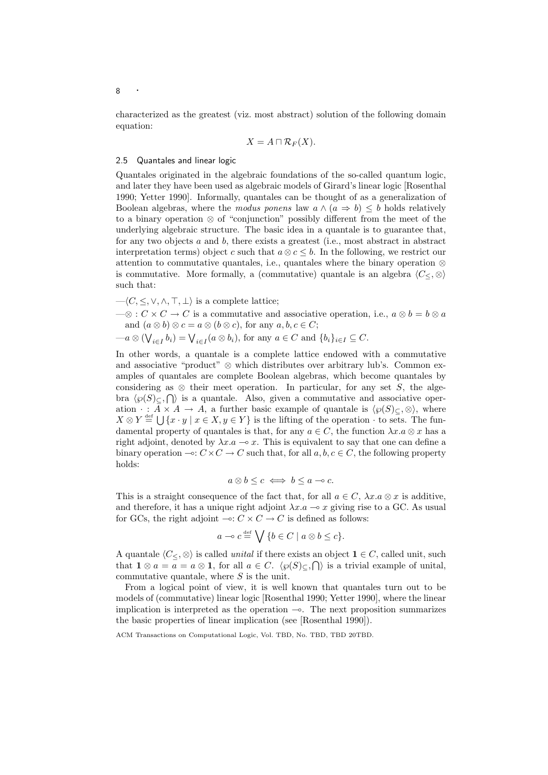characterized as the greatest (viz. most abstract) solution of the following domain equation:

$$
X = A \sqcap \mathcal{R}_F(X).
$$

# 2.5 Quantales and linear logic

Quantales originated in the algebraic foundations of the so-called quantum logic, and later they have been used as algebraic models of Girard's linear logic [Rosenthal 1990; Yetter 1990]. Informally, quantales can be thought of as a generalization of Boolean algebras, where the modus ponens law  $a \wedge (a \Rightarrow b) \leq b$  holds relatively to a binary operation ⊗ of "conjunction" possibly different from the meet of the underlying algebraic structure. The basic idea in a quantale is to guarantee that, for any two objects a and b, there exists a greatest (i.e., most abstract in abstract interpretation terms) object c such that  $a \otimes c \leq b$ . In the following, we restrict our attention to commutative quantales, i.e., quantales where the binary operation  $\otimes$ is commutative. More formally, a (commutative) quantale is an algebra  $\langle C \langle \varphi \rangle$ such that:

 $-\langle C, \leq, \vee, \wedge, \top, \bot \rangle$  is a complete lattice;

 $-\otimes$ :  $C \times C \rightarrow C$  is a commutative and associative operation, i.e.,  $a \otimes b = b \otimes a$ and  $(a \otimes b) \otimes c = a \otimes (b \otimes c)$ , for any  $a, b, c \in C$ ;

 $-a\otimes(\bigvee_{i\in I}b_i)=\bigvee_{i\in I}(a\otimes b_i),$  for any  $a\in C$  and  $\{b_i\}_{i\in I}\subseteq C$ .

In other words, a quantale is a complete lattice endowed with a commutative and associative "product" ⊗ which distributes over arbitrary lub's. Common examples of quantales are complete Boolean algebras, which become quantales by considering as  $\otimes$  their meet operation. In particular, for any set S, the algebra  $\langle \wp(S)_{\subseteq}$ ,  $\bigcap$  is a quantale. Also, given a commutative and associative operation  $\cdot : \overline{A} \times A \to A$ , a further basic example of quantale is  $\langle \wp(S)_{\subseteq} , \otimes \rangle$ , where  $X \otimes Y \stackrel{\text{def}}{=} \bigcup \{x \cdot y \mid x \in X, y \in Y\}$  is the lifting of the operation  $\cdot$  to sets. The fundamental property of quantales is that, for any  $a \in C$ , the function  $\lambda x.a \otimes x$  has a right adjoint, denoted by  $\lambda x.a \rightarrow x$ . This is equivalent to say that one can define a binary operation  $\multimap: C \times C \to C$  such that, for all  $a, b, c \in C$ , the following property holds:

$$
a\otimes b\leq c\iff b\leq a\multimap c.
$$

This is a straight consequence of the fact that, for all  $a \in C$ ,  $\lambda x.a \otimes x$  is additive, and therefore, it has a unique right adjoint  $\lambda x.a \sim x$  giving rise to a GC. As usual for GCs, the right adjoint  $\multimap: C \times C \to C$  is defined as follows:

$$
a \to c \stackrel{\text{def}}{=} \bigvee \{b \in C \mid a \otimes b \leq c\}.
$$

A quantale  $\langle C \langle \cdot, \otimes \rangle$  is called unital if there exists an object  $1 \in C$ , called unit, such that  $1 \otimes a = a = a \otimes 1$ , for all  $a \in C$ .  $\langle \wp(S) \rangle_C$ ,  $\bigcap$  is a trivial example of unital, commutative quantale, where  $S$  is the unit.

From a logical point of view, it is well known that quantales turn out to be models of (commutative) linear logic [Rosenthal 1990; Yetter 1990], where the linear implication is interpreted as the operation  $\sim$ . The next proposition summarizes the basic properties of linear implication (see [Rosenthal 1990]).

ACM Transactions on Computational Logic, Vol. TBD, No. TBD, TBD 20TBD.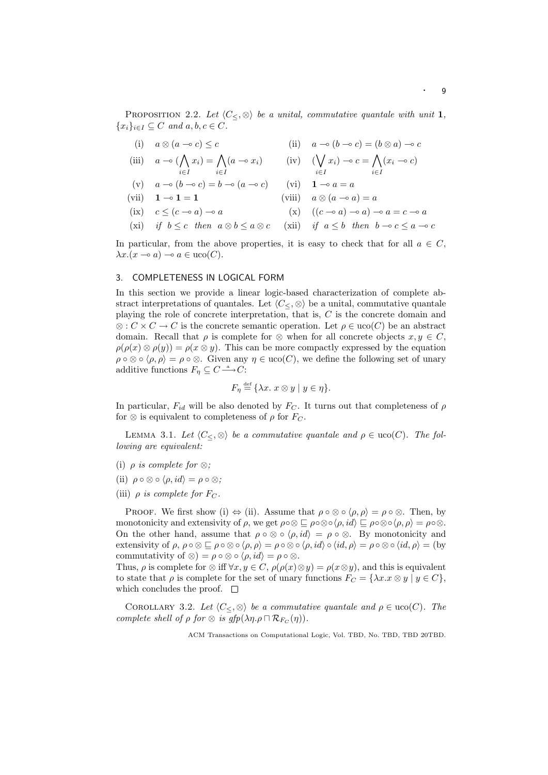PROPOSITION 2.2. Let  $\langle C_{\leq}, \otimes \rangle$  be a unital, commutative quantale with unit 1,  ${x_i}_{i\in I} \subseteq C$  and  $a, b, c \in C$ .

(i) 
$$
a \otimes (a \to c) \leq c
$$
  
\n(ii)  $a \to (b \to c) = (b \otimes a) \to c$   
\n(iii)  $a \to (b \to c) = (b \otimes a) \to c$ 

(iii) 
$$
a \to (\bigwedge_{i \in I} x_i) = \bigwedge_{i \in I} (a \to x_i)
$$
 (iv)  $(\bigvee_{i \in I} x_i) \to c = \bigwedge_{i \in I} (x_i \to c)$ 

(v) 
$$
a \to (b \to c) = b \to (a \to c)
$$
 (vi)  $\mathbf{1} \to a = a$   
(vii)  $\mathbf{1} \to \mathbf{1} = \mathbf{1}$  (viii)  $a \otimes (a \to a) = a$ 

(ix) 
$$
c \le (c - \alpha) - \alpha
$$
 (x)  $((c - \alpha) - \alpha) - \alpha = c - \alpha$ 

(xi) if  $b \leq c$  then  $a \otimes b \leq a \otimes c$  (xii) if  $a \leq b$  then  $b \to c \leq a \to c$ 

In particular, from the above properties, it is easy to check that for all  $a \in C$ ,  $\lambda x.(x \multimap a) \multimap a \in uco(C).$ 

# 3. COMPLETENESS IN LOGICAL FORM

In this section we provide a linear logic-based characterization of complete abstract interpretations of quantales. Let  $\langle C_{\leq} \otimes \rangle$  be a unital, commutative quantale playing the role of concrete interpretation, that is, C is the concrete domain and  $\otimes$ :  $C \times C \rightarrow C$  is the concrete semantic operation. Let  $\rho \in \text{uco}(C)$  be an abstract domain. Recall that  $\rho$  is complete for ⊗ when for all concrete objects  $x, y \in C$ ,  $\rho(\rho(x) \otimes \rho(y)) = \rho(x \otimes y)$ . This can be more compactly expressed by the equation  $\rho \circ \otimes \circ \langle \rho, \rho \rangle = \rho \circ \otimes$ . Given any  $\eta \in \text{uco}(C)$ , we define the following set of unary additive functions  $F_{\eta} \subseteq C \longrightarrow C$ :

$$
F_{\eta} \stackrel{\text{def}}{=} \{ \lambda x. \ x \otimes y \mid y \in \eta \}.
$$

In particular,  $F_{id}$  will be also denoted by  $F_C$ . It turns out that completeness of  $\rho$ for  $\otimes$  is equivalent to completeness of  $\rho$  for  $F_C$ .

LEMMA 3.1. Let  $\langle C_{\leq} \otimes \rangle$  be a commutative quantale and  $\rho \in \text{uco}(C)$ . The following are equivalent:

- (i)  $\rho$  is complete for  $\otimes$ ;
- (ii)  $\rho \circ \otimes \circ \langle \rho, id \rangle = \rho \circ \otimes$ ;
- (iii)  $\rho$  is complete for  $F_C$ .

PROOF. We first show (i)  $\Leftrightarrow$  (ii). Assume that  $\rho \circ \otimes \circ \langle \rho, \rho \rangle = \rho \circ \otimes$ . Then, by monotonicity and extensivity of  $\rho$ , we get  $\rho \circ \otimes \sqsubseteq \rho \circ \otimes \circ \langle \rho, id \rangle \sqsubseteq \rho \circ \otimes \circ \langle \rho, \rho \rangle = \rho \circ \otimes$ . On the other hand, assume that  $\rho \circ \otimes \circ \langle \rho, id \rangle = \rho \circ \otimes$ . By monotonicity and extensivity of  $\rho, \rho \circ \otimes \sqsubseteq \rho \circ \otimes \circ \langle \rho, \rho \rangle = \rho \circ \otimes \circ \langle \rho, id \rangle \circ \langle id, \rho \rangle = \rho \circ \otimes \circ \langle id, \rho \rangle = (by$ commutativity of  $\otimes$ ) =  $\rho \circ \otimes \circ \langle \rho, id \rangle = \rho \circ \otimes$ .

Thus,  $\rho$  is complete for ⊗ iff  $\forall x, y \in C$ ,  $\rho(\rho(x) \otimes y) = \rho(x \otimes y)$ , and this is equivalent to state that  $\rho$  is complete for the set of unary functions  $F_C = {\lambda x.x \otimes y \mid y \in C},$ which concludes the proof.  $\square$ 

COROLLARY 3.2. Let  $\langle C_{\leq}, \otimes \rangle$  be a commutative quantale and  $\rho \in \text{uco}(C)$ . The complete shell of  $\rho$  for  $\otimes$  is  $gfp(\lambda \eta.\rho \sqcap \mathcal{R}_{F_C}(\eta)).$ 

ACM Transactions on Computational Logic, Vol. TBD, No. TBD, TBD 20TBD.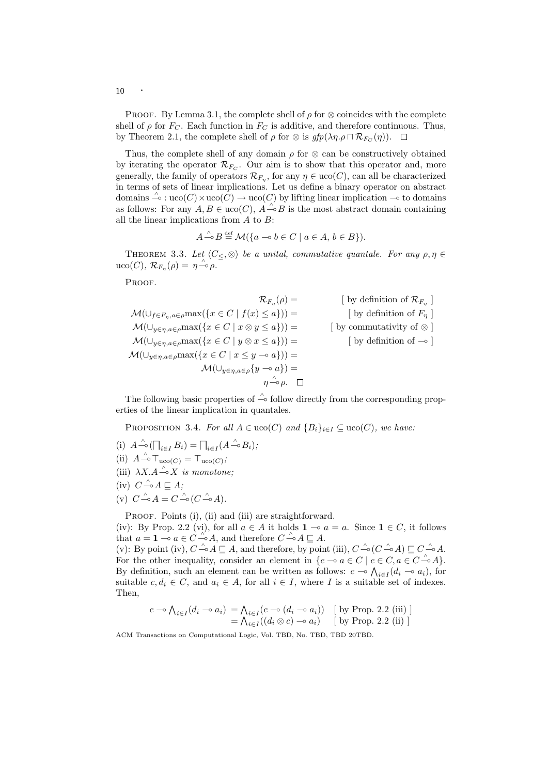PROOF. By Lemma 3.1, the complete shell of  $\rho$  for  $\otimes$  coincides with the complete shell of  $\rho$  for  $F_C$ . Each function in  $F_C$  is additive, and therefore continuous. Thus, by Theorem 2.1, the complete shell of  $\rho$  for  $\otimes$  is  $gfp(\lambda \eta. \rho \sqcap \mathcal{R}_{F_C}(\eta)).$ 

Thus, the complete shell of any domain  $\rho$  for  $\otimes$  can be constructively obtained by iterating the operator  $\mathcal{R}_{Fc}$ . Our aim is to show that this operator and, more generally, the family of operators  $\mathcal{R}_{F_{\eta}}$ , for any  $\eta \in \text{uco}(C)$ , can all be characterized in terms of sets of linear implications. Let us define a binary operator on abstract domains  $\stackrel{\wedge}{\multimap}$ : uco(C)  $\times$  uco(C)  $\rightarrow$  uco(C) by lifting linear implication  $\multimap$  to domains as follows: For any  $A, B \in u\text{co}(C), A \overset{\wedge}{\multimap} B$  is the most abstract domain containing all the linear implications from  $A$  to  $B$ :

$$
A \stackrel{\wedge}{\multimap} B \stackrel{\text{def}}{=} \mathcal{M}(\{a \multimap b \in C \mid a \in A, b \in B\}).
$$

THEOREM 3.3. Let  $\langle C \langle C \rangle \rangle$  be a unital, commutative quantale. For any  $\rho, \eta \in$  $\mathrm{uco}(C)$ ,  $\mathcal{R}_{F_{\eta}}(\rho) = \eta \stackrel{\wedge}{\multimap} \rho$ .

PROOF.

$$
\mathcal{R}_{F_{\eta}}(\rho) = \qquad \qquad [\text{ by definition of } \mathcal{R}_{F_{\eta}} ]
$$
  
\n
$$
\mathcal{M}(\cup_{f \in F_{\eta}, a \in \rho} \max(\{x \in C \mid f(x) \le a\})) = \qquad [\text{ by definition of } \mathcal{R}_{F_{\eta}} ]
$$
  
\n
$$
\mathcal{M}(\cup_{y \in \eta, a \in \rho} \max(\{x \in C \mid x \otimes y \le a\})) = \qquad [\text{ by commutativity of } \otimes ]
$$
  
\n
$$
\mathcal{M}(\cup_{y \in \eta, a \in \rho} \max(\{x \in C \mid y \otimes x \le a\})) = \qquad [\text{ by definition of } -\circ ]
$$
  
\n
$$
\mathcal{M}(\cup_{y \in \eta, a \in \rho} \max(\{x \in C \mid x \le y \to a\})) = \qquad \qquad [\text{ by definition of } -\circ ]
$$
  
\n
$$
\mathcal{M}(\cup_{y \in \eta, a \in \rho} \{y \to a\}) = \qquad \qquad \eta \xrightarrow{\wedge} \rho.
$$

The following basic properties of  $\stackrel{\wedge}{\sim}$  follow directly from the corresponding properties of the linear implication in quantales.

PROPOSITION 3.4. For all  $A \in u\text{co}(C)$  and  $\{B_i\}_{i \in I} \subseteq u\text{co}(C)$ , we have:

- (i)  $A \triangleq (\bigcap_{i \in I} B_i) = \bigcap_{i \in I} (A \triangleq B_i);$ (ii)  $A \xrightarrow{\wedge} \text{T}_{\text{uco}(C)} = \text{T}_{\text{uco}(C)}$ ;
- (iii)  $\lambda X.A \xrightarrow{\wedge} X$  is monotone:
- 
- $(iv)$   $C \stackrel{\wedge}{\multimap} A \sqsubseteq A;$
- (v)  $C \xrightarrow{\wedge} A = C \xrightarrow{\wedge} (C \xrightarrow{\wedge} A).$

PROOF. Points (i), (ii) and (iii) are straightforward.

(iv): By Prop. 2.2 (vi), for all  $a \in A$  it holds  $1 \multimap a = a$ . Since  $1 \in C$ , it follows that  $a = \mathbf{1} \multimap a \in C \stackrel{\wedge'}{\multimap} A$ , and therefore  $C \stackrel{\wedge}{\multimap} A \sqsubseteq A$ .

(v): By point (iv),  $C \triangleq A \subseteq A$ , and therefore, by point (iii),  $C \triangleq (C \triangleq A) \subseteq C \triangleq A$ . For the other inequality, consider an element in  $\{c \to a \in C \mid c \in C, a \in C \to A\}.$ By definition, such an element can be written as follows:  $c \to \bigwedge_{i \in I} (d_i \to a_i)$ , for suitable  $c, d_i \in C$ , and  $a_i \in A$ , for all  $i \in I$ , where I is a suitable set of indexes. Then,

$$
c \multimap \bigwedge_{i \in I} (d_i \multimap a_i) = \bigwedge_{i \in I} (c \multimap (d_i \multimap a_i)) \quad [\text{ by Prop. 2.2 (iii)}] = \bigwedge_{i \in I} ((d_i \otimes c) \multimap a_i) \quad [\text{ by Prop. 2.2 (ii)}]
$$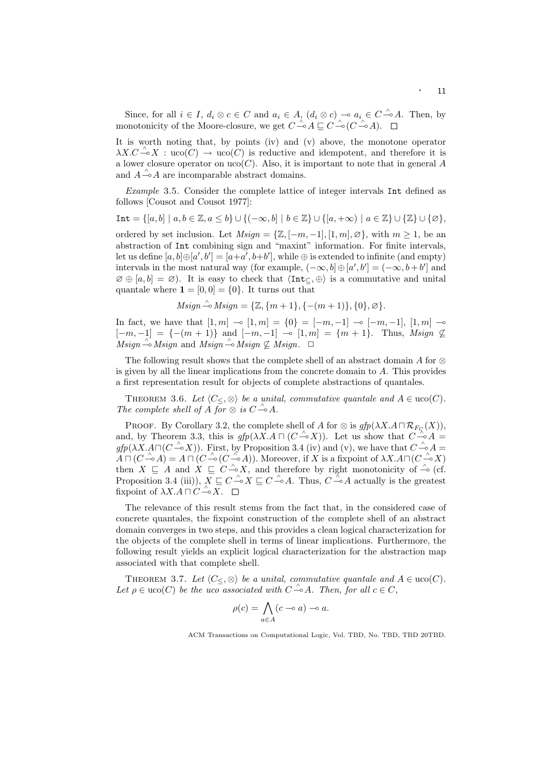Since, for all  $i \in I$ ,  $d_i \otimes c \in C$  and  $a_i \in A$ ,  $(d_i \otimes c) \multimap a_i \in C \rightarrow A$ . Then, by monotonicity of the Moore-closure, we get  $C \stackrel{\wedge}{\multimap} A \sqsubseteq C \stackrel{\wedge}{\multimap} (C \stackrel{\wedge}{\multimap} A)$ .

It is worth noting that, by points (iv) and (v) above, the monotone operator  $\lambda X.C \xrightarrow{\wedge} X : \text{uco}(C) \rightarrow \text{uco}(C)$  is reductive and idempotent, and therefore it is a lower closure operator on  $uco(C)$ . Also, it is important to note that in general A and  $A \xrightarrow{\wedge} A$  are incomparable abstract domains.

Example 3.5. Consider the complete lattice of integer intervals Int defined as follows [Cousot and Cousot 1977]:

Int =  $\{[a, b] \mid a, b \in \mathbb{Z}, a \leq b\} \cup \{(-\infty, b] \mid b \in \mathbb{Z}\} \cup \{[a, +\infty) \mid a \in \mathbb{Z}\} \cup \{\mathbb{Z}\} \cup \{\emptyset\},\$ 

ordered by set inclusion. Let  $Msign = {\mathbb{Z}, [-m, -1], [1, m], \emptyset}$ , with  $m \ge 1$ , be an abstraction of Int combining sign and "maxint" information. For finite intervals, let us define  $[a, b] \oplus [a', b'] = [a + a', b + b']$ , while  $\oplus$  is extended to infinite (and empty) intervals in the most natural way (for example,  $(-\infty, b] \oplus [a', b'] = (-\infty, b+b']$  and  $\emptyset \oplus [a, b] = \emptyset$ . It is easy to check that  $\langle Int_{\subseteq} \oplus \rangle$  is a commutative and unital quantale where  $\mathbf{1} = [0, 0] = \{0\}$ . It turns out that

$$
Msign \stackrel{\wedge}{\multimap} Msign = \{ \mathbb{Z}, \{ m+1 \}, \{ -(m+1) \}, \{ 0 \}, \varnothing \}.
$$

In fact, we have that  $[1, m] \rightarrow [1, m] = \{0\} = [-m, -1] \rightarrow [-m, -1], [1, m] \rightarrow$  $[-m, -1] = \{-(m+1)\}\$ and  $[-m, -1] \sim [1, m] = \{m+1\}$ . Thus, Msign  $\nsubseteq$  $Msign \stackrel{\wedge}{\longrightarrow} Msign$  and  $Msign \stackrel{\wedge}{\longrightarrow} Msign \not\subseteq Msign. \quad \Box$ 

The following result shows that the complete shell of an abstract domain A for  $\otimes$ is given by all the linear implications from the concrete domain to  $A$ . This provides a first representation result for objects of complete abstractions of quantales.

THEOREM 3.6. Let  $\langle C_{\leq}, \otimes \rangle$  be a unital, commutative quantale and  $A \in \text{uco}(C)$ . The complete shell of  $\overrightarrow{A}$  for  $\otimes$  is  $C \hat{\rightarrow} A$ .

PROOF. By Corollary 3.2, the complete shell of A for  $\otimes$  is  $gfp(\lambda X.A \sqcap \mathcal{R}_{F_Q}(X)),$ and, by Theorem 3.3, this is  $gfp(\lambda X.A \sqcap (C \rightarrow \lambda X))$ . Let us show that  $C \rightarrow A =$  $gfp(\lambda X.A\Box(C\hat{\rightarrow} X)).$  First, by Proposition 3.4 (iv) and (v), we have that  $C\hat{\rightarrow} A=$  $A \cap (C \hat{\rightarrow} A) = A \cap (C \hat{\rightarrow} (C \hat{\rightarrow} A))$ . Moreover, if X is a fixpoint of  $\lambda X.A \cap (C \hat{\rightarrow} X)$ then  $X \subseteq A$  and  $X \subseteq C \stackrel{\wedge}{\multimap} X$ , and therefore by right monotonicity of  $\stackrel{\wedge}{\multimap}$  (cf. Proposition 3.4 (iii)),  $\overline{X} \sqsubseteq C \stackrel{\wedge}{\multimap} X \sqsubseteq C \stackrel{\wedge}{\multimap} A$ . Thus,  $C \stackrel{\wedge}{\multimap} A$  actually is the greatest fixpoint of  $\lambda X. A \sqcap C \stackrel{\wedge}{\multimap} \overline{X}.$ 

The relevance of this result stems from the fact that, in the considered case of concrete quantales, the fixpoint construction of the complete shell of an abstract domain converges in two steps, and this provides a clean logical characterization for the objects of the complete shell in terms of linear implications. Furthermore, the following result yields an explicit logical characterization for the abstraction map associated with that complete shell.

THEOREM 3.7. Let  $\langle C_{\leq} \otimes \rangle$  be a unital, commutative quantale and  $A \in \text{uco}(C)$ . Let  $\rho \in \text{uco}(C)$  be the uco associated with  $C \triangleq A$ . Then, for all  $c \in C$ ,

$$
\rho(c) = \bigwedge_{a \in A} (c \multimap a) \multimap a.
$$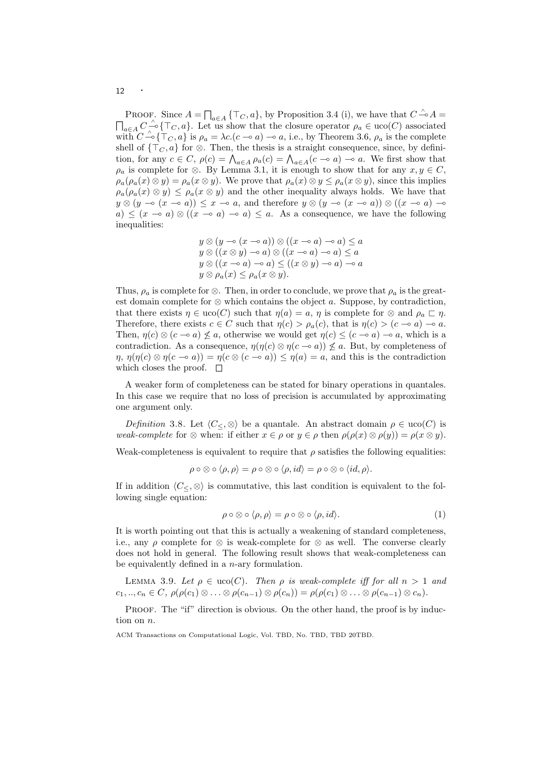PROOF. Since  $A = \prod_{a \in A} {\{\top_{C}, a\}}$ , by Proposition 3.4 (i), we have that  $C \triangleq A =$  $\prod_{a\in A} C$   $\stackrel{\wedge}{\sim} \{\top_C, a\}$ . Let us show that the closure operator  $\rho_a \in \text{uco}(C)$  associated with  $C \stackrel{\wedge}{\rightarrow} \{\top_C, a\}$  is  $\rho_a = \lambda c. (c \rightarrow a) \rightarrow a$ , i.e., by Theorem 3.6,  $\rho_a$  is the complete shell of  $\{\top_C, a\}$  for ⊗. Then, the thesis is a straight consequence, since, by definition, for any  $c \in C$ ,  $\rho(c) = \bigwedge_{a \in A} \rho_a(c) = \bigwedge_{a \in A} (c - a) - a$ . We first show that  $\rho_a$  is complete for ⊗. By Lemma 3.1, it is enough to show that for any  $x, y \in C$ ,  $\rho_a(\rho_a(x) \otimes y) = \rho_a(x \otimes y)$ . We prove that  $\rho_a(x) \otimes y \leq \rho_a(x \otimes y)$ , since this implies  $\rho_a(\rho_a(x) \otimes y) \leq \rho_a(x \otimes y)$  and the other inequality always holds. We have that  $y \otimes (y \multimap (x \multimap a)) \leq x \multimap a$ , and therefore  $y \otimes (y \multimap (x \multimap a)) \otimes ((x \multimap a) \multimap a)$  $a) \leq (x \to a) \otimes ((x \to a) \to a) \leq a$ . As a consequence, we have the following inequalities:

$$
y \otimes (y \multimap (x \multimap a)) \otimes ((x \multimap a) \multimap a) \le a
$$
  
\n
$$
y \otimes ((x \otimes y) \multimap a) \otimes ((x \multimap a) \multimap a) \le a
$$
  
\n
$$
y \otimes ((x \multimap a) \multimap a) \le ((x \otimes y) \multimap a) \multimap a
$$
  
\n
$$
y \otimes \rho_a(x) \le \rho_a(x \otimes y).
$$

Thus,  $\rho_a$  is complete for ⊗. Then, in order to conclude, we prove that  $\rho_a$  is the greatest domain complete for  $\otimes$  which contains the object a. Suppose, by contradiction, that there exists  $\eta \in \text{uco}(C)$  such that  $\eta(a) = a, \eta$  is complete for  $\otimes$  and  $\rho_a \sqsubset \eta$ . Therefore, there exists  $c \in C$  such that  $\eta(c) > \rho_a(c)$ , that is  $\eta(c) > (c - \infty a) - \infty a$ . Then,  $\eta(c) \otimes (c \to a) \not\leq a$ , otherwise we would get  $\eta(c) \leq (c \to a) \to a$ , which is a contradiction. As a consequence,  $\eta(\eta(c) \otimes \eta(c \to a)) \not\leq a$ . But, by completeness of  $\eta$ ,  $\eta(\eta(c) \otimes \eta(c - a)) = \eta(c \otimes (c - a)) \leq \eta(a) = a$ , and this is the contradiction which closes the proof.  $\square$ 

A weaker form of completeness can be stated for binary operations in quantales. In this case we require that no loss of precision is accumulated by approximating one argument only.

Definition 3.8. Let  $\langle C_{\leq}, \otimes \rangle$  be a quantale. An abstract domain  $\rho \in \text{uco}(C)$  is weak-complete for  $\otimes$  when: if either  $x \in \rho$  or  $y \in \rho$  then  $\rho(\rho(x) \otimes \rho(y)) = \rho(x \otimes y)$ .

Weak-completeness is equivalent to require that  $\rho$  satisfies the following equalities:

$$
\rho \circ \otimes \circ \langle \rho, \rho \rangle = \rho \circ \otimes \circ \langle \rho, id \rangle = \rho \circ \otimes \circ \langle id, \rho \rangle.
$$

If in addition  $\langle C \rangle \otimes$  is commutative, this last condition is equivalent to the following single equation:

$$
\rho \circ \otimes \circ \langle \rho, \rho \rangle = \rho \circ \otimes \circ \langle \rho, id \rangle. \tag{1}
$$

It is worth pointing out that this is actually a weakening of standard completeness, i.e., any  $\rho$  complete for  $\otimes$  is weak-complete for  $\otimes$  as well. The converse clearly does not hold in general. The following result shows that weak-completeness can be equivalently defined in a n-ary formulation.

LEMMA 3.9. Let  $\rho \in uco(C)$ . Then  $\rho$  is weak-complete iff for all  $n > 1$  and  $c_1, ..., c_n \in C, \ \rho(\rho(c_1) \otimes ... \otimes \rho(c_{n-1}) \otimes \rho(c_n)) = \rho(\rho(c_1) \otimes ... \otimes \rho(c_{n-1}) \otimes c_n).$ 

PROOF. The "if" direction is obvious. On the other hand, the proof is by induction on n.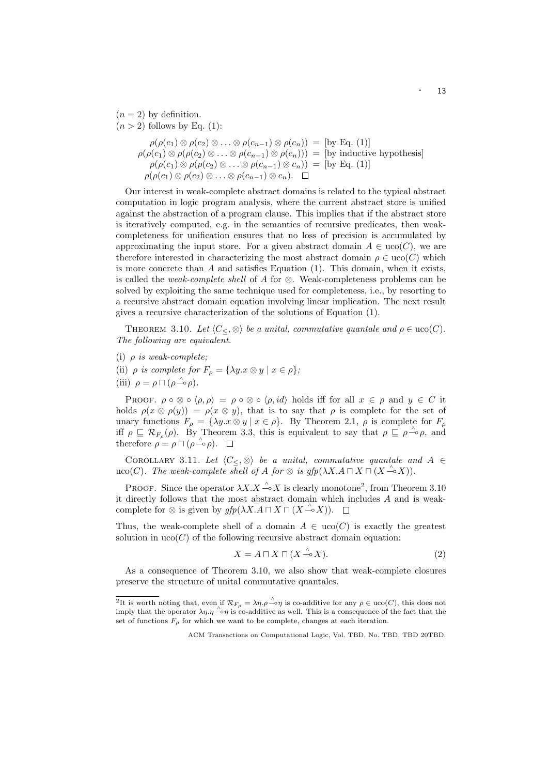$(n = 2)$  by definition.  $(n > 2)$  follows by Eq. (1):  $\rho(\rho(c_1) \otimes \rho(c_2) \otimes \ldots \otimes \rho(c_{n-1}) \otimes \rho(c_n)) = [\text{by Eq. (1)}]$  $\rho(\rho(c_1) \otimes \rho(\rho(c_2) \otimes \ldots \otimes \rho(c_{n-1}) \otimes \rho(c_n))) =$  [by inductive hypothesis]  $\rho(\rho(c_1) \otimes \rho(\rho(c_2) \otimes \ldots \otimes \rho(c_{n-1}) \otimes c_n)) = [\text{by Eq. (1)}]$  $\rho(\rho(c_1) \otimes \rho(c_2) \otimes \ldots \otimes \rho(c_{n-1}) \otimes c_n).$ 

Our interest in weak-complete abstract domains is related to the typical abstract computation in logic program analysis, where the current abstract store is unified against the abstraction of a program clause. This implies that if the abstract store is iteratively computed, e.g. in the semantics of recursive predicates, then weakcompleteness for unification ensures that no loss of precision is accumulated by approximating the input store. For a given abstract domain  $A \in \text{uco}(C)$ , we are therefore interested in characterizing the most abstract domain  $\rho \in \text{uco}(C)$  which is more concrete than  $A$  and satisfies Equation (1). This domain, when it exists, is called the *weak-complete shell* of A for ⊗. Weak-completeness problems can be solved by exploiting the same technique used for completeness, i.e., by resorting to a recursive abstract domain equation involving linear implication. The next result gives a recursive characterization of the solutions of Equation (1).

THEOREM 3.10. Let  $\langle C_{\leq} \otimes \rangle$  be a unital, commutative quantale and  $\rho \in \text{uco}(C)$ . The following are equivalent.

- (i)  $\rho$  is weak-complete;
- (ii)  $\rho$  is complete for  $F_{\rho} = {\lambda y.x \otimes y \mid x \in \rho};$
- (iii)  $\rho = \rho \sqcap (\rho \stackrel{\wedge}{\multimap} \rho).$

PROOF.  $\rho \circ \otimes \circ \langle \rho, \rho \rangle = \rho \circ \otimes \circ \langle \rho, id \rangle$  holds iff for all  $x \in \rho$  and  $y \in C$  it holds  $\rho(x \otimes \rho(y)) = \rho(x \otimes y)$ , that is to say that  $\rho$  is complete for the set of unary functions  $F_{\rho} = {\lambda y \cdot x \otimes y \mid x \in \rho}$ . By Theorem 2.1,  $\rho$  is complete for  $F_{\rho}$ iff  $\rho \subseteq \mathcal{R}_{F_{\rho}}(\rho)$ . By Theorem 3.3, this is equivalent to say that  $\rho \subseteq \rho \stackrel{\wedge}{\multimap} \rho$ , and therefore  $\rho = \rho \sqcap (\rho \rightarrow \rho)$ .

COROLLARY 3.11. Let  $\langle C \lt, \infty \rangle$  be a unital, commutative quantale and A ∈ uco(C). The weak-complete shell of A for  $\otimes$  is gfp( $\lambda X.A \sqcap X \sqcap (X \xrightarrow{\wedge} X)$ ).

PROOF. Since the operator  $\lambda X.X \xrightarrow{\wedge} X$  is clearly monotone<sup>2</sup>, from Theorem 3.10 it directly follows that the most abstract domain which includes A and is weakcomplete for  $\otimes$  is given by  $gfp(\lambda X.A \sqcap X \sqcap (X \xrightarrow{\wedge} X)).$ 

Thus, the weak-complete shell of a domain  $A \in \text{uco}(C)$  is exactly the greatest solution in  $uco(C)$  of the following recursive abstract domain equation:

$$
X = A \sqcap X \sqcap (X \xrightarrow{\wedge} X). \tag{2}
$$

As a consequence of Theorem 3.10, we also show that weak-complete closures preserve the structure of unital commutative quantales.

 $\overline{^{2}$ It is worth noting that, even if  $\mathcal{R}_{F_{\rho}} = \lambda \eta \cdot \rho \stackrel{\wedge}{\sim} \eta$  is co-additive for any  $\rho \in \text{uco}(C)$ , this does not imply that the operator  $\lambda \eta$ . $\eta \stackrel{\sim}{\sim} \eta$  is co-additive as well. This is a consequence of the fact that the set of functions  $F_{\rho}$  for which we want to be complete, changes at each iteration.

ACM Transactions on Computational Logic, Vol. TBD, No. TBD, TBD 20TBD.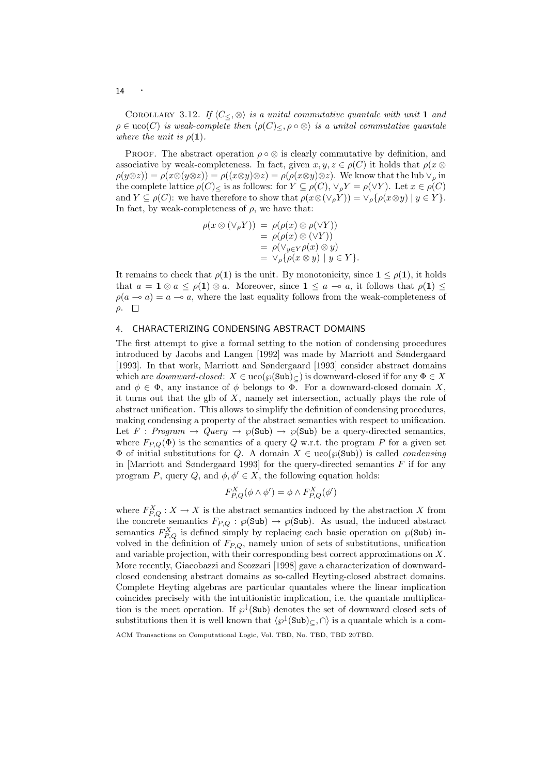COROLLARY 3.12. If  $\langle C_{\leq}, \otimes \rangle$  is a unital commutative quantale with unit 1 and  $\rho \in \text{uco}(C)$  is weak-complete then  $\langle \rho(C) \rangle \leq \rho \circ \otimes \rangle$  is a unital commutative quantale where the unit is  $\rho(1)$ .

PROOF. The abstract operation  $\rho \circ \otimes$  is clearly commutative by definition, and associative by weak-completeness. In fact, given  $x, y, z \in \rho(C)$  it holds that  $\rho(x \otimes$  $\rho(y\otimes z)) = \rho(x\otimes (y\otimes z)) = \rho((x\otimes y)\otimes z) = \rho(\rho(x\otimes y)\otimes z)$ . We know that the lub  $\vee_{\rho}$  in the complete lattice  $\rho(C)_{<}$  is as follows: for  $Y \subseteq \rho(C)$ ,  $\vee_{\rho} Y = \rho(\vee Y)$ . Let  $x \in \rho(C)$ and  $Y \subseteq \rho(C)$ : we have therefore to show that  $\rho(x \otimes (\vee_p Y)) = \vee_p {\rho(x \otimes y) \mid y \in Y}$ . In fact, by weak-completeness of  $\rho$ , we have that:

$$
\rho(x \otimes (\vee_{\rho} Y)) = \rho(\rho(x) \otimes \rho(\vee Y))
$$
  
= 
$$
\rho(\rho(x) \otimes (\vee Y))
$$
  
= 
$$
\rho(\vee_{y \in Y} \rho(x) \otimes y)
$$
  
= 
$$
\vee_{\rho} {\rho(x \otimes y) \mid y \in Y}.
$$

It remains to check that  $\rho(1)$  is the unit. By monotonicity, since  $1 \leq \rho(1)$ , it holds that  $a = \mathbf{1} \otimes a \leq \rho(\mathbf{1}) \otimes a$ . Moreover, since  $\mathbf{1} \leq a \multimap a$ , it follows that  $\rho(\mathbf{1}) \leq a$  $\rho(a \to a) = a \to a$ , where the last equality follows from the weak-completeness of  $ρ.$   $\Box$ 

# 4. CHARACTERIZING CONDENSING ABSTRACT DOMAINS

The first attempt to give a formal setting to the notion of condensing procedures introduced by Jacobs and Langen [1992] was made by Marriott and Søndergaard [1993]. In that work, Marriott and Søndergaard [1993] consider abstract domains which are *downward-closed*:  $X \in \text{uco}(\wp(\text{Sub})_{\subseteq})$  is downward-closed if for any  $\Phi \in X$ and  $\phi \in \Phi$ , any instance of  $\phi$  belongs to  $\Phi$ . For a downward-closed domain X, it turns out that the glb of  $X$ , namely set intersection, actually plays the role of abstract unification. This allows to simplify the definition of condensing procedures, making condensing a property of the abstract semantics with respect to unification. Let F : Program  $\rightarrow$  Query  $\rightarrow \wp(\text{Sub}) \rightarrow \wp(\text{Sub})$  be a query-directed semantics, where  $F_{P,Q}(\Phi)$  is the semantics of a query Q w.r.t. the program P for a given set  $\Phi$  of initial substitutions for Q. A domain  $X \in \text{uco}(\wp(\text{Sub}))$  is called *condensing* in [Marriott and Søndergaard 1993] for the query-directed semantics  $F$  if for any program P, query Q, and  $\phi, \phi' \in X$ , the following equation holds:

$$
F_{P,Q}^X(\phi \wedge \phi') = \phi \wedge F_{P,Q}^X(\phi')
$$

where  $F_{P,Q}^X : X \to X$  is the abstract semantics induced by the abstraction X from the concrete semantics  $F_{P,Q} : \wp(\text{Sub}) \to \wp(\text{Sub})$ . As usual, the induced abstract semantics  $F_{P,Q}^X$  is defined simply by replacing each basic operation on  $\wp(\text{Sub})$  involved in the definition of  $F_{P,Q}$ , namely union of sets of substitutions, unification and variable projection, with their corresponding best correct approximations on X. More recently, Giacobazzi and Scozzari [1998] gave a characterization of downwardclosed condensing abstract domains as so-called Heyting-closed abstract domains. Complete Heyting algebras are particular quantales where the linear implication coincides precisely with the intuitionistic implication, i.e. the quantale multiplication is the meet operation. If  $\wp^{\downarrow}(\text{Sub})$  denotes the set of downward closed sets of substitutions then it is well known that  $\langle \wp^{\downarrow}(\text{Sub})_{\subset} \rangle$  is a quantale which is a com-

ACM Transactions on Computational Logic, Vol. TBD, No. TBD, TBD 20TBD.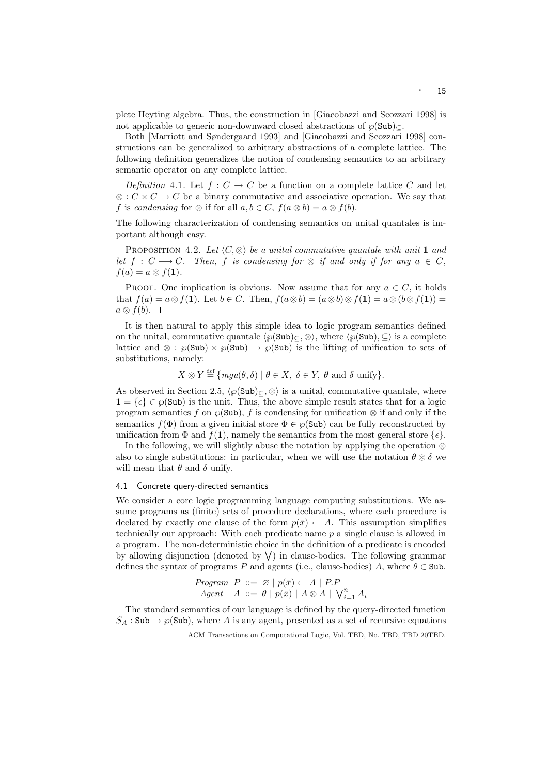plete Heyting algebra. Thus, the construction in [Giacobazzi and Scozzari 1998] is not applicable to generic non-downward closed abstractions of  $\wp(\text{Sub})_{\subset}$ .

Both [Marriott and Søndergaard 1993] and [Giacobazzi and Scozzari 1998] constructions can be generalized to arbitrary abstractions of a complete lattice. The following definition generalizes the notion of condensing semantics to an arbitrary semantic operator on any complete lattice.

Definition 4.1. Let  $f: C \to C$  be a function on a complete lattice C and let  $\otimes$ :  $C \times C \rightarrow C$  be a binary commutative and associative operation. We say that f is condensing for  $\otimes$  if for all  $a, b \in C$ ,  $f(a \otimes b) = a \otimes f(b)$ .

The following characterization of condensing semantics on unital quantales is important although easy.

PROPOSITION 4.2. Let  $\langle C, \otimes \rangle$  be a unital commutative quantale with unit 1 and let  $f : C \longrightarrow C$ . Then, f is condensing for  $\otimes$  if and only if for any  $a \in C$ ,  $f(a) = a \otimes f(1)$ .

PROOF. One implication is obvious. Now assume that for any  $a \in C$ , it holds that  $f(a) = a \otimes f(1)$ . Let  $b \in C$ . Then,  $f(a \otimes b) = (a \otimes b) \otimes f(1) = a \otimes (b \otimes f(1)) =$  $a \otimes f(b)$ .  $\square$ 

It is then natural to apply this simple idea to logic program semantics defined on the unital, commutative quantale  $\langle \wp(\text{Sub})_{\subseteq} \rangle$ , where  $\langle \wp(\text{Sub}), \subseteq \rangle$  is a complete lattice and ⊗ :  $\wp(\text{Sub}) \times \wp(\text{Sub}) \to \wp(\text{Sub})$  is the lifting of unification to sets of substitutions, namely:

 $X \otimes Y \stackrel{\text{def}}{=} \{ mgu(\theta, \delta) \mid \theta \in X, \ \delta \in Y, \ \theta \text{ and } \delta \text{ unify} \}.$ 

As observed in Section 2.5,  $\langle \varphi(\text{Sub})_{\subseteq} \otimes \rangle$  is a unital, commutative quantale, where  $1 = {\epsilon} \in \wp(\text{Sub})$  is the unit. Thus, the above simple result states that for a logic program semantics f on  $\wp(\text{Sub})$ , f is condensing for unification  $\otimes$  if and only if the semantics  $f(\Phi)$  from a given initial store  $\Phi \in \mathcal{O}(\text{Sub})$  can be fully reconstructed by unification from  $\Phi$  and  $f(1)$ , namely the semantics from the most general store  $\{\epsilon\}.$ 

In the following, we will slightly abuse the notation by applying the operation ⊗ also to single substitutions: in particular, when we will use the notation  $\theta \otimes \delta$  we will mean that  $\theta$  and  $\delta$  unify.

## 4.1 Concrete query-directed semantics

We consider a core logic programming language computing substitutions. We assume programs as (finite) sets of procedure declarations, where each procedure is declared by exactly one clause of the form  $p(\bar{x}) \leftarrow A$ . This assumption simplifies technically our approach: With each predicate name p a single clause is allowed in a program. The non-deterministic choice in the definition of a predicate is encoded by allowing disjunction (denoted by  $\vee$ ) in clause-bodies. The following grammar defines the syntax of programs P and agents (i.e., clause-bodies) A, where  $\theta \in$  Sub.

*Program P* ::= 
$$
\varnothing
$$
 |  $p(\bar{x}) \leftarrow A$  | *P.P*  
*Agent A* ::=  $\theta$  |  $p(\bar{x})$  |  $A \otimes A$  |  $V_{i=1}^{n} A_i$ 

The standard semantics of our language is defined by the query-directed function  $S_A : Sub \rightarrow \mathcal{O}(Sub)$ , where A is any agent, presented as a set of recursive equations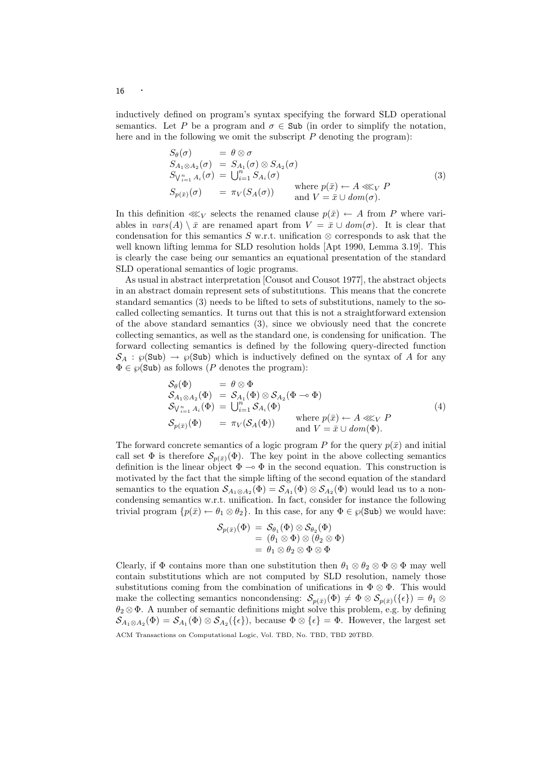inductively defined on program's syntax specifying the forward SLD operational semantics. Let P be a program and  $\sigma \in \text{Sub}$  (in order to simplify the notation, here and in the following we omit the subscript  $P$  denoting the program):

$$
S_{\theta}(\sigma) = \theta \otimes \sigma
$$
  
\n
$$
S_{A_1 \otimes A_2}(\sigma) = S_{A_1}(\sigma) \otimes S_{A_2}(\sigma)
$$
  
\n
$$
S_{V_{i=1}^n A_i}(\sigma) = \bigcup_{i=1}^n S_{A_i}(\sigma)
$$
  
\n
$$
S_{p(\bar{x})}(\sigma) = \pi_V(S_A(\sigma)) \qquad \text{where } p(\bar{x}) \leftarrow A \lll_V P
$$
  
\nand  $V = \bar{x} \cup dom(\sigma)$ .  
\n(3)

In this definition  $\lll_V$  selects the renamed clause  $p(\bar{x}) \leftarrow A$  from P where variables in  $vars(A) \setminus \bar{x}$  are renamed apart from  $V = \bar{x} \cup dom(\sigma)$ . It is clear that condensation for this semantics  $S$  w.r.t. unification  $\otimes$  corresponds to ask that the well known lifting lemma for SLD resolution holds [Apt 1990, Lemma 3.19]. This is clearly the case being our semantics an equational presentation of the standard SLD operational semantics of logic programs.

As usual in abstract interpretation [Cousot and Cousot 1977], the abstract objects in an abstract domain represent sets of substitutions. This means that the concrete standard semantics (3) needs to be lifted to sets of substitutions, namely to the socalled collecting semantics. It turns out that this is not a straightforward extension of the above standard semantics (3), since we obviously need that the concrete collecting semantics, as well as the standard one, is condensing for unification. The forward collecting semantics is defined by the following query-directed function  $S_A : \wp(\text{Sub}) \to \wp(\text{Sub})$  which is inductively defined on the syntax of A for any  $\Phi \in \wp(\text{Sub})$  as follows (P denotes the program):

$$
\begin{array}{lll}\n\mathcal{S}_{\theta}(\Phi) & = & \theta \otimes \Phi \\
\mathcal{S}_{A_1 \otimes A_2}(\Phi) & = & \mathcal{S}_{A_1}(\Phi) \otimes \mathcal{S}_{A_2}(\Phi \multimap \Phi) \\
\mathcal{S}_{\setminus_{i=1}^n A_i}(\Phi) & = & \bigcup_{i=1}^n \mathcal{S}_{A_i}(\Phi) \\
\mathcal{S}_{p(\bar{x})}(\Phi) & = & \pi_V(\mathcal{S}_A(\Phi)) & \text{where } p(\bar{x}) \leftarrow A \lll_V P \\
\text{and } V = \bar{x} \cup \text{dom}(\Phi).\n\end{array} \tag{4}
$$

The forward concrete semantics of a logic program P for the query  $p(\bar{x})$  and initial call set  $\Phi$  is therefore  $\mathcal{S}_{p(\bar{x})}(\Phi)$ . The key point in the above collecting semantics definition is the linear object  $\Phi \multimap \Phi$  in the second equation. This construction is motivated by the fact that the simple lifting of the second equation of the standard semantics to the equation  $S_{A_1 \otimes A_2}(\Phi) = S_{A_1}(\Phi) \otimes S_{A_2}(\Phi)$  would lead us to a noncondensing semantics w.r.t. unification. In fact, consider for instance the following trivial program  $\{p(\bar{x}) \leftarrow \theta_1 \otimes \theta_2\}$ . In this case, for any  $\Phi \in \wp(\text{Sub})$  we would have:

$$
\begin{array}{c}\mathcal{S}_{p(\bar x)}(\Phi) \,=\, \mathcal{S}_{\theta_1}(\Phi)\otimes \mathcal{S}_{\theta_2}(\Phi)\\ \,=\, (\theta_1\otimes \Phi)\otimes (\theta_2\otimes \Phi)\\ \,=\, \theta_1\otimes \theta_2\otimes \Phi\otimes \Phi\end{array}
$$

Clearly, if  $\Phi$  contains more than one substitution then  $\theta_1 \otimes \theta_2 \otimes \Phi \otimes \Phi$  may well contain substitutions which are not computed by SLD resolution, namely those substitutions coming from the combination of unifications in  $\Phi \otimes \Phi$ . This would make the collecting semantics noncondensing:  $\mathcal{S}_{p(\bar{x})}(\Phi) \neq \Phi \otimes \mathcal{S}_{p(\bar{x})}(\{\epsilon\}) = \theta_1 \otimes \Theta$  $\theta_2 \otimes \Phi$ . A number of semantic definitions might solve this problem, e.g. by defining  $\mathcal{S}_{A_1\otimes A_2}(\Phi) = \mathcal{S}_{A_1}(\Phi) \otimes \mathcal{S}_{A_2}(\{\epsilon\}),$  because  $\Phi \otimes \{\epsilon\} = \Phi$ . However, the largest set ACM Transactions on Computational Logic, Vol. TBD, No. TBD, TBD 20TBD.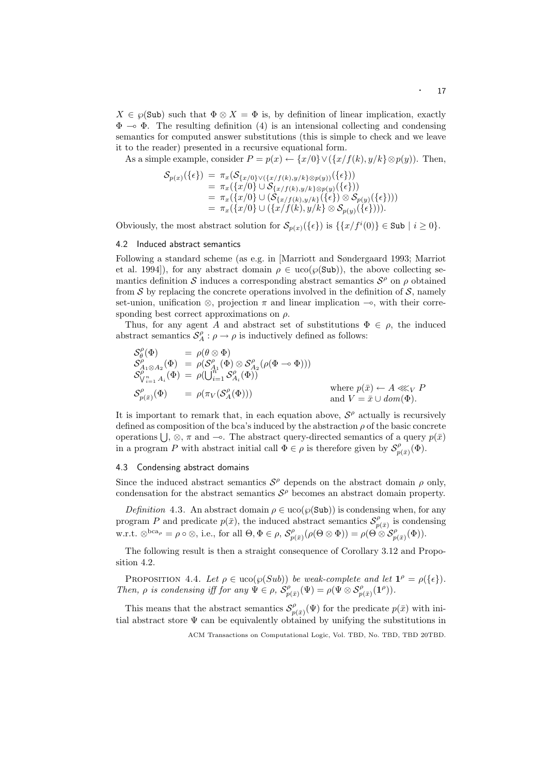$X \in \wp(\text{Sub})$  such that  $\Phi \otimes X = \Phi$  is, by definition of linear implication, exactly  $\Phi \multimap \Phi$ . The resulting definition (4) is an intensional collecting and condensing semantics for computed answer substitutions (this is simple to check and we leave it to the reader) presented in a recursive equational form.

As a simple example, consider  $P = p(x) \leftarrow \{x/0\} \vee (\{x/f(k), y/k\} \otimes p(y)).$  Then,

$$
\begin{array}{ll} \mathcal{S}_{p(x)}(\{\epsilon\}) & = \pi_x(\mathcal{S}_{\{x/0\} \vee (\{x/f(k), y/k\} \otimes p(y))}(\{\epsilon\})) \\ & = \pi_x(\{x/0\} \cup \mathcal{S}_{\{x/f(k), y/k\} \otimes p(y)}(\{\epsilon\})) \\ & = \pi_x(\{x/0\} \cup (\mathcal{S}_{\{x/f(k), y/k\}}(\{\epsilon\}) \otimes \mathcal{S}_{p(y)}(\{\epsilon\}))) \\ & = \pi_x(\{x/0\} \cup (\{x/f(k), y/k\} \otimes \mathcal{S}_{p(y)}(\{\epsilon\}))). \end{array}
$$

Obviously, the most abstract solution for  $\mathcal{S}_{p(x)}(\{\epsilon\})$  is  $\{\{x/f^{i}(0)\}\in \text{Sub} \mid i \geq 0\}.$ 

## 4.2 Induced abstract semantics

Following a standard scheme (as e.g. in [Marriott and Søndergaard 1993; Marriot et al. 1994]), for any abstract domain  $\rho \in \text{uco}(\wp(\text{Sub}))$ , the above collecting semantics definition S induces a corresponding abstract semantics  $S^{\rho}$  on  $\rho$  obtained from S by replacing the concrete operations involved in the definition of S, namely set-union, unification  $\otimes$ , projection  $\pi$  and linear implication  $\multimap$ , with their corresponding best correct approximations on  $\rho$ .

Thus, for any agent A and abstract set of substitutions  $\Phi \in \rho$ , the induced abstract semantics  $S_A^{\rho} : \rho \to \rho$  is inductively defined as follows:

$$
\begin{array}{rcl}\nS_{\theta}^{\rho}(\Phi) & = & \rho(\theta \otimes \Phi) \\
S_{A_1 \otimes A_2}^{\rho}(\Phi) & = & \rho(S_{A_1}^{\rho}(\Phi) \otimes S_{A_2}^{\rho}(\rho(\Phi \multimap \Phi))) \\
S_{V_{i=1}^n A_i}^{\rho}(\Phi) & = & \rho(\bigcup_{i=1}^{n} S_{A_i}^{\rho}(\Phi)) \\
S_{p(\bar{x})}^{\rho}(\Phi) & = & \rho(\pi_V(S_A^{\rho}(\Phi)))\n\end{array}\n\quad \text{where } p(\bar{x}) \leftarrow A \lll_V P
$$
\n
$$
\text{and } V = \bar{x} \cup \text{dom}(\Phi).
$$

It is important to remark that, in each equation above,  $S^{\rho}$  actually is recursively defined as composition of the bca's induced by the abstraction  $\rho$  of the basic concrete operations  $\bigcup$ ,  $\otimes$ ,  $\pi$  and  $\multimap$ . The abstract query-directed semantics of a query  $p(\bar{x})$ in a program P with abstract initial call  $\Phi \in \rho$  is therefore given by  $\mathcal{S}_n^{\rho}$  $f_{p(\bar x)}^{ \rho}(\Phi).$ 

## 4.3 Condensing abstract domains

Since the induced abstract semantics  $S^{\rho}$  depends on the abstract domain  $\rho$  only, condensation for the abstract semantics  $S^{\rho}$  becomes an abstract domain property.

Definition 4.3. An abstract domain  $\rho \in u\text{co}(\wp(\text{Sub}))$  is condensing when, for any program P and predicate  $p(\bar{x})$ , the induced abstract semantics  $S_n^{\rho}$  $\zeta_{p(\bar{x})}^{\rho}$  is condensing w.r.t.  $\otimes^{bca_{\rho}} = \rho \circ \otimes$ , i.e., for all  $\Theta, \Phi \in \rho$ ,  $\mathcal{S}_{n}^{\rho}$  $p^{\rho}_{p(\bar{x})}(\rho(\Theta\otimes \Phi))=\rho(\Theta\otimes\mathcal{S}_{p(\bar{x})}^{\rho}(\Phi)).$ 

The following result is then a straight consequence of Corollary 3.12 and Proposition 4.2.

PROPOSITION 4.4. Let  $\rho \in uco(\wp(Sub))$  be weak-complete and let  $\mathbf{1}^{\rho} = \rho(\{\epsilon\}).$ Then,  $\rho$  is condensing iff for any  $\Psi \in \rho$ ,  $S_n^{\rho}$  $\hat{P}^\rho_{p(\bar{x})}(\Psi) = \rho(\Psi \otimes \mathcal{S}^\rho_{p(\bar{x})}(\mathbf{1}^\rho)).$ 

This means that the abstract semantics  $S_n^{\rho}$  $p_{p(\bar{x})}^{\rho}(\Psi)$  for the predicate  $p(\bar{x})$  with initial abstract store  $\Psi$  can be equivalently obtained by unifying the substitutions in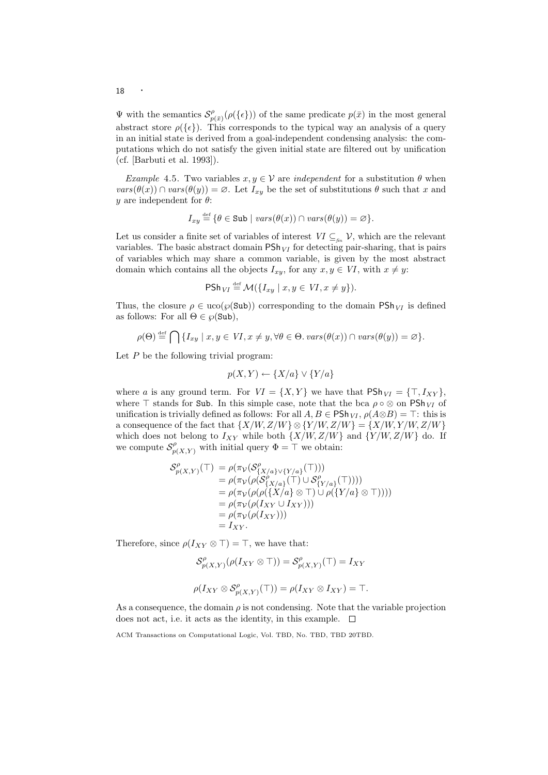$\Psi$  with the semantics  $\mathcal{S}_n^{\rho}$  $p_{p(\bar{x})}^{\rho}(\rho(\{\epsilon\}))$  of the same predicate  $p(\bar{x})$  in the most general abstract store  $\rho({\{\epsilon\}})$ . This corresponds to the typical way an analysis of a query in an initial state is derived from a goal-independent condensing analysis: the computations which do not satisfy the given initial state are filtered out by unification (cf. [Barbuti et al. 1993]).

Example 4.5. Two variables  $x, y \in V$  are *independent* for a substitution  $\theta$  when  $vars(\theta(x)) \cap vars(\theta(y)) = \emptyset$ . Let  $I_{xy}$  be the set of substitutions  $\theta$  such that x and y are independent for  $\theta$ :

$$
I_{xy} \stackrel{\text{def}}{=} \{ \theta \in \text{Sub} \mid vars(\theta(x)) \cap vars(\theta(y)) = \varnothing \}.
$$

Let us consider a finite set of variables of interest  $VI \subseteq_{\text{fin}} V$ , which are the relevant variables. The basic abstract domain  $\mathsf{PSh}_V$  for detecting pair-sharing, that is pairs of variables which may share a common variable, is given by the most abstract domain which contains all the objects  $I_{xy}$ , for any  $x, y \in VI$ , with  $x \neq y$ :

$$
\mathsf{PSh}_{VI} \stackrel{\text{def}}{=} \mathcal{M}(\{I_{xy} \mid x, y \in VI, x \neq y\}).
$$

Thus, the closure  $\rho \in \text{uco}(\wp(\text{Sub}))$  corresponding to the domain  $\text{PSh}_{VI}$  is defined as follows: For all  $\Theta \in \wp(\text{Sub}),$ 

$$
\rho(\Theta) \stackrel{\text{def}}{=} \bigcap \{ I_{xy} \mid x, y \in VI, x \neq y, \forall \theta \in \Theta. \text{ vars}(\theta(x)) \cap \text{vars}(\theta(y)) = \varnothing \}.
$$

Let  $P$  be the following trivial program:

$$
p(X,Y) \leftarrow \{X/a\} \vee \{Y/a\}
$$

where a is any ground term. For  $VI = \{X, Y\}$  we have that  $\mathsf{PSh}_{VI} = \{\top, I_{XY}\},\$ where  $\top$  stands for Sub. In this simple case, note that the bca  $\rho \circ \otimes$  on PSh<sub>VI</sub> of unification is trivially defined as follows: For all  $A, B \in \mathsf{PSh}_{VI}, \rho(A \otimes B) = \top$ : this is a consequence of the fact that  $\{X/W, Z/W\} \otimes \{Y/W, Z/W\} = \{X/W, Y/W, Z/W\}$ which does not belong to  $I_{XY}$  while both  $\{X/W,Z/W\}$  and  $\{Y/W,Z/W\}$  do. If we compute  $\mathcal{S}_{p(X,Y)}^{\rho}$  with initial query  $\Phi = \top$  we obtain:

$$
\begin{aligned} \mathcal{S}_{p(X,Y)}^{\rho}(\top) &= \rho(\pi_{\mathcal{V}}(\mathcal{S}_{\{X/a\} \vee \{Y/a\}}^{\rho}(\top))) \\ &= \rho(\pi_{\mathcal{V}}(\rho(\mathcal{S}_{\{X/a\}}^{\rho}(\top) \cup \mathcal{S}_{\{Y/a\}}^{\rho}(\top)))) \\ &= \rho(\pi_{\mathcal{V}}(\rho(\rho(\{X/a\} \otimes \top) \cup \rho(\{Y/a\} \otimes \top)))) \\ &= \rho(\pi_{\mathcal{V}}(\rho(I_{XY} \cup I_{XY}))) \\ &= \rho(\pi_{\mathcal{V}}(\rho(I_{XY}))) \\ &= I_{XY} .\end{aligned}
$$

Therefore, since  $\rho(I_{XY} \otimes \top) = \top$ , we have that:

$$
\mathcal{S}_{p(X,Y)}^{\rho}(\rho(I_{XY}\otimes \top)) = \mathcal{S}_{p(X,Y)}^{\rho}(\top) = I_{XY}
$$
  

$$
\rho(I_{XY}\otimes \mathcal{S}_{p(X,Y)}^{\rho}(\top)) = \rho(I_{XY}\otimes I_{XY}) = \top.
$$

As a consequence, the domain  $\rho$  is not condensing. Note that the variable projection does not act, i.e. it acts as the identity, in this example.  $\Box$ 

ACM Transactions on Computational Logic, Vol. TBD, No. TBD, TBD 20TBD.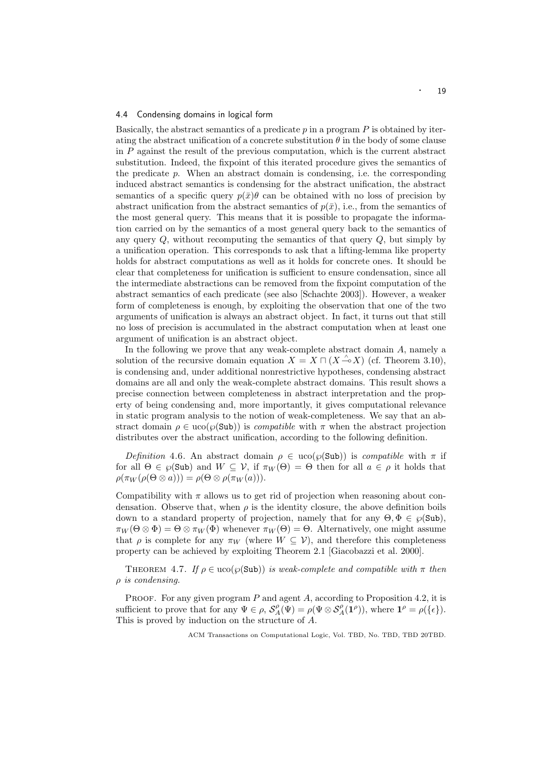## 4.4 Condensing domains in logical form

Basically, the abstract semantics of a predicate  $p$  in a program  $P$  is obtained by iterating the abstract unification of a concrete substitution  $\theta$  in the body of some clause in P against the result of the previous computation, which is the current abstract substitution. Indeed, the fixpoint of this iterated procedure gives the semantics of the predicate  $p$ . When an abstract domain is condensing, i.e. the corresponding induced abstract semantics is condensing for the abstract unification, the abstract semantics of a specific query  $p(\bar{x})\theta$  can be obtained with no loss of precision by abstract unification from the abstract semantics of  $p(\bar{x})$ , i.e., from the semantics of the most general query. This means that it is possible to propagate the information carried on by the semantics of a most general query back to the semantics of any query  $Q$ , without recomputing the semantics of that query  $Q$ , but simply by a unification operation. This corresponds to ask that a lifting-lemma like property holds for abstract computations as well as it holds for concrete ones. It should be clear that completeness for unification is sufficient to ensure condensation, since all the intermediate abstractions can be removed from the fixpoint computation of the abstract semantics of each predicate (see also [Schachte 2003]). However, a weaker form of completeness is enough, by exploiting the observation that one of the two arguments of unification is always an abstract object. In fact, it turns out that still no loss of precision is accumulated in the abstract computation when at least one argument of unification is an abstract object.

In the following we prove that any weak-complete abstract domain A, namely a solution of the recursive domain equation  $X = X \sqcap (X \rightarrow X)$  (cf. Theorem 3.10), is condensing and, under additional nonrestrictive hypotheses, condensing abstract domains are all and only the weak-complete abstract domains. This result shows a precise connection between completeness in abstract interpretation and the property of being condensing and, more importantly, it gives computational relevance in static program analysis to the notion of weak-completeness. We say that an abstract domain  $\rho \in \text{uco}(\wp(\text{Sub}))$  is *compatible* with  $\pi$  when the abstract projection distributes over the abstract unification, according to the following definition.

Definition 4.6. An abstract domain  $\rho \in u\text{co}(\wp(\text{Sub}))$  is compatible with  $\pi$  if for all  $\Theta \in \mathcal{D}(\mathsf{Sub})$  and  $W \subseteq \mathcal{V}$ , if  $\pi_W(\Theta) = \Theta$  then for all  $a \in \rho$  it holds that  $\rho(\pi_W(\rho(\Theta \otimes a))) = \rho(\Theta \otimes \rho(\pi_W(a))).$ 

Compatibility with  $\pi$  allows us to get rid of projection when reasoning about condensation. Observe that, when  $\rho$  is the identity closure, the above definition boils down to a standard property of projection, namely that for any  $\Theta, \Phi \in \mathcal{P}(\mathsf{Sub}),$  $\pi_W(\Theta \otimes \Phi) = \Theta \otimes \pi_W(\Phi)$  whenever  $\pi_W(\Theta) = \Theta$ . Alternatively, one might assume that  $\rho$  is complete for any  $\pi_W$  (where  $W \subseteq V$ ), and therefore this completeness property can be achieved by exploiting Theorem 2.1 [Giacobazzi et al. 2000].

THEOREM 4.7. If  $\rho \in \text{uco}(\wp(\text{Sub}))$  is weak-complete and compatible with  $\pi$  then ρ is condensing.

PROOF. For any given program  $P$  and agent  $A$ , according to Proposition 4.2, it is sufficient to prove that for any  $\Psi \in \rho$ ,  $\mathcal{S}_{A}^{\rho}(\Psi) = \rho(\Psi \otimes \mathcal{S}_{A}^{\rho}(\mathbf{I}^{\rho}))$ , where  $\mathbf{1}^{\rho} = \rho(\{\epsilon\})$ . This is proved by induction on the structure of A.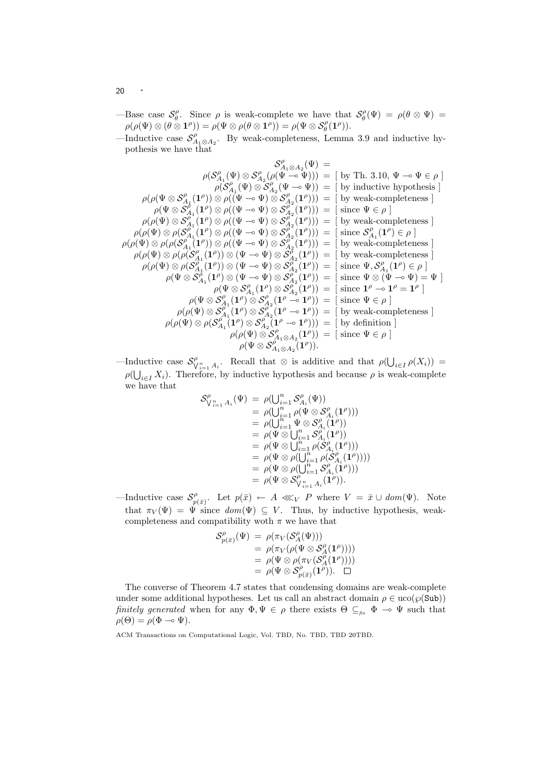—Base case  $\mathcal{S}_{\theta}^{\rho}$ . Since  $\rho$  is weak-complete we have that  $\mathcal{S}_{\theta}^{\rho}(\Psi) = \rho(\theta \otimes \Psi)$  $\rho(\rho(\Psi)\otimes (\theta\otimes \mathbf{1}^{\rho}))=\rho(\Psi\otimes \rho(\theta\otimes \mathbf{1}^{\rho}))=\rho(\Psi\otimes \mathcal{S}^{\rho}_{\theta}(\mathbf{1}^{\rho})).$ 

—Inductive case  $\mathcal{S}_{A_1\otimes A_2}^{\rho}$ . By weak-completeness, Lemma 3.9 and inductive hypothesis we have that

$$
\mathcal{S}_{A_1 \otimes A_2}^{\rho}(\Psi) =
$$
\n
$$
\rho(\mathcal{S}_{A_1}^{\rho}(\Psi) \otimes \mathcal{S}_{A_2}^{\rho}(\rho(\Psi \multimap \Psi))) = [\text{ by Th. 3.10, } \Psi \multimap \Psi \in \rho]
$$
\n
$$
\rho(\rho(\Psi \otimes \mathcal{S}_{A_1}^{\rho}(\mathbf{1}^{\rho})) \otimes \rho((\Psi \multimap \Psi) \otimes \mathcal{S}_{A_2}^{\rho}(\mathbf{1}^{\rho}))) = [\text{ by inductive hypothesis}]
$$
\n
$$
\rho(\rho(\Psi \otimes \mathcal{S}_{A_1}^{\rho}(\mathbf{1}^{\rho})) \otimes \rho((\Psi \multimap \Psi) \otimes \mathcal{S}_{A_2}^{\rho}(\mathbf{1}^{\rho}))) = [\text{ since } \Psi \in \rho]
$$
\n
$$
\rho(\rho(\Psi) \otimes \mathcal{S}_{A_1}^{\rho}(\mathbf{1}^{\rho}) \otimes \rho((\Psi \multimap \Psi) \otimes \mathcal{S}_{A_2}^{\rho}(\mathbf{1}^{\rho}))) = [\text{ since } \Psi \in \rho]
$$
\n
$$
\rho(\rho(\Psi) \otimes \rho(\mathcal{S}_{A_1}^{\rho}(\mathbf{1}^{\rho}) \otimes \rho((\Psi \multimap \Psi) \otimes \mathcal{S}_{A_2}^{\rho}(\mathbf{1}^{\rho}))) = [\text{ since } \mathcal{S}_{A_1}^{\rho}(\mathbf{1}^{\rho}) \in \rho]
$$
\n
$$
\rho(\rho(\Psi) \otimes \rho(\mathcal{S}_{A_1}^{\rho}(\mathbf{1}^{\rho})) \otimes (\Psi \multimap \Psi) \otimes \mathcal{S}_{A_2}^{\rho}(\mathbf{1}^{\rho})) = [\text{ by weak-completeness}]
$$
\n
$$
\rho(\rho(\Psi) \otimes \rho(\mathcal{S}_{A_1}^{\rho}(\mathbf{1}^{\rho})) \otimes (\Psi \multimap \Psi) \otimes \mathcal{S}_{A_2}^{\rho}(\mathbf{1}^{\rho})) = [\text{ since } \Psi, \mathcal{S}_{A_1}^{\rho}(\mathbf{1}^{\rho}) \in \rho]
$$
\n
$$
\rho(\Psi \otimes \mathcal{S}_{A_1}^{\rho}(\mathbf{1}
$$

—Inductive case  $\mathcal{S}_{\bigvee_{i=1}^n A_i}^{\rho}$ . Recall that  $\otimes$  is additive and that  $\rho(\bigcup_{i\in I}\rho(X_i))$  =  $\rho(\bigcup_{i\in I} X_i)$ . Therefore, by inductive hypothesis and because  $\rho$  is weak-complete we have that

$$
\begin{array}{ll} \mathcal{S}_{\bigvee_{i=1}^{n}A_{i}}^{p}(\Psi)&=&\rho(\bigcup_{i=1}^{n} \mathcal{S}_{A_{i}}^{p}(\Psi))\\ &=&\rho(\bigcup_{i=1}^{n} \rho(\Psi\otimes \mathcal{S}_{A_{i}}^{p}(1^{\rho})) )\\ &=&\rho(\bigcup_{i=1}^{n} \Psi\otimes \mathcal{S}_{A_{i}}^{p}(1^{\rho}))\\ &=&\rho(\Psi\otimes \bigcup_{i=1}^{n} \mathcal{S}_{A_{i}}^{p}(1^{\rho}))\\ &=&\rho(\Psi\otimes \bigcup_{i=1}^{n} \rho(\mathcal{S}_{A_{i}}^{p}(1^{\rho})) )\\ &=&\rho(\Psi\otimes \rho(\bigcup_{i=1}^{n} \rho(\mathcal{S}_{A_{i}}^{p}(1^{\rho})) ))\\ &=&\rho(\Psi\otimes \rho(\bigcup_{i=1}^{n} \mathcal{S}_{A_{i}}^{p}(1^{\rho})) )\\ &=&\rho(\Psi\otimes \mathcal{S}_{\bigveedge_{i=1}^{n}A_{i}}^{p}(1^{\rho})). \end{array}
$$

—Inductive case  $\mathcal{S}_n^{\rho}$  $p_{p(\bar{x})}^{\rho}$ . Let  $p(\bar{x}) \leftarrow A \lll_V P$  where  $V = \bar{x} \cup dom(\Psi)$ . Note that  $\pi_V(\Psi) = \Psi$  since  $dom(\Psi) \subseteq V$ . Thus, by inductive hypothesis, weakcompleteness and compatibility woth  $\pi$  we have that

$$
\begin{array}{rcl} \mathcal{S}_{p(\bar x)}^{\rho}(\Psi) \; &= \; \rho(\pi_V(\mathcal{S}_A^{\rho}(\Psi))) \\ & = \; \rho(\pi_V(\rho(\Psi \otimes \mathcal{S}_A^{\rho}(1^{\rho})))) \\ & = \; \rho(\Psi \otimes \rho(\pi_V(\mathcal{S}_A^{\rho}(1^{\rho})))) \\ & = \; \rho(\Psi \otimes \mathcal{S}_{p(\bar x)}^{\rho}(1^{\rho})). \ \ \, \Box \end{array}
$$

The converse of Theorem 4.7 states that condensing domains are weak-complete under some additional hypotheses. Let us call an abstract domain  $\rho \in \text{uco}(\wp(\text{Sub}))$ finitely generated when for any  $\Phi, \Psi \in \rho$  there exists  $\Theta \subseteq_{\text{fin}} \Phi \to \Psi$  such that  $\rho(\Theta) = \rho(\Phi \multimap \Psi).$ 

<sup>20</sup> ·

ACM Transactions on Computational Logic, Vol. TBD, No. TBD, TBD 20TBD.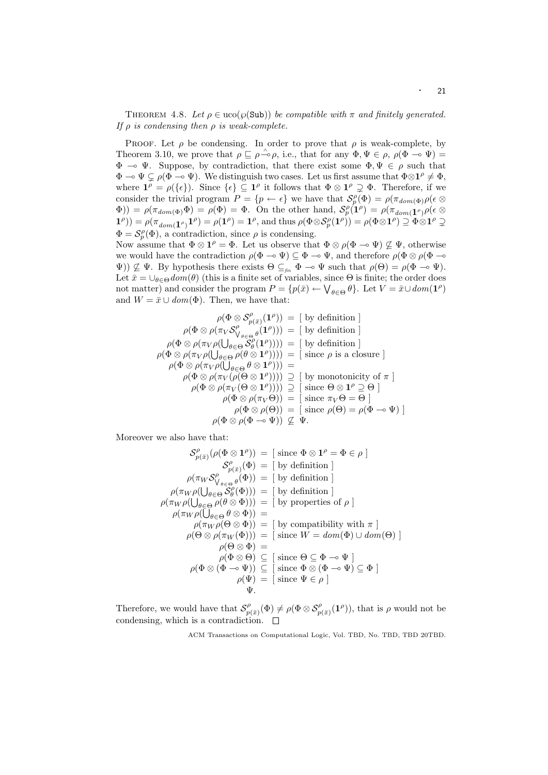THEOREM 4.8. Let  $\rho \in u\text{co}(\wp(\text{Sub}))$  be compatible with  $\pi$  and finitely generated. If  $\rho$  is condensing then  $\rho$  is weak-complete.

PROOF. Let  $\rho$  be condensing. In order to prove that  $\rho$  is weak-complete, by Theorem 3.10, we prove that  $\rho \subseteq \rho \stackrel{\wedge}{\sim} \rho$ , i.e., that for any  $\Phi, \Psi \in \rho$ ,  $\rho(\Phi \multimap \Psi) =$  $\Phi \multimap \Psi$ . Suppose, by contradiction, that there exist some  $\Phi, \Psi \in \rho$  such that  $\Phi \to \Psi \subsetneq \rho(\Phi \to \Psi)$ . We distinguish two cases. Let us first assume that  $\Phi \otimes \mathbf{1}^{\rho} \neq \Phi$ , where  $\mathbf{1}^{\rho} = \rho(\{\epsilon\})$ . Since  $\{\epsilon\} \subseteq \mathbf{1}^{\rho}$  it follows that  $\Phi \otimes \mathbf{1}^{\rho} \supsetneq \Phi$ . Therefore, if we consider the trivial program  $P = \{p \leftarrow \epsilon\}$  we have that  $\mathcal{S}_p^{\rho}(\Phi) = \rho(\pi_{dom(\Phi)}\rho(\epsilon \otimes$  $\Phi$ )) =  $\rho(\pi_{dom(\Phi)}\Phi) = \rho(\Phi) = \Phi$ . On the other hand,  $\mathcal{S}_{p}^{\rho}(\mathbf{1}^{\rho}) = \rho(\pi_{dom(\mathbf{1}^{\rho})}\rho(\epsilon\otimes\Phi))$  $\mathbf{1}^{\rho}$ )) =  $\rho(\pi_{dom}(\mathbf{1}^{\rho})\mathbf{1}^{\rho}) = \rho(\mathbf{1}^{\rho}) = \mathbf{1}^{\rho}$ , and thus  $\rho(\Phi \otimes \mathcal{S}_{p}^{\rho}(\mathbf{1}^{\rho})) = \rho(\Phi \otimes \mathbf{1}^{\rho}) \supseteq \Phi \otimes \mathbf{1}^{\rho} \supseteq \Phi$  $\Phi = \mathcal{S}_p^{\rho}(\Phi)$ , a contradiction, since  $\rho$  is condensing.

Now assume that  $\Phi \otimes \mathbf{1}^{\rho} = \Phi$ . Let us observe that  $\Phi \otimes \rho (\Phi \multimap \Psi) \nsubseteq \Psi$ , otherwise we would have the contradiction  $\rho(\Phi \to \Psi) \subseteq \Phi \to \Psi$ , and therefore  $\rho(\Phi \otimes \rho(\Phi \to \Psi))$  $\Psi$ ))  $\nsubseteq \Psi$ . By hypothesis there exists  $\Theta \subseteq_{\text{fin}} \Phi \to \Psi$  such that  $\rho(\Theta) = \rho(\Phi \to \Psi)$ . Let  $\bar{x} = \bigcup_{\theta \in \Theta} dom(\theta)$  (this is a finite set of variables, since  $\Theta$  is finite; the order does not matter) and consider the program  $P = \{p(\bar{x}) \leftarrow \bigvee_{\theta \in \Theta} \theta\}$ . Let  $V = \bar{x} \cup dom(1^{\rho})$ and  $W = \bar{x} \cup dom(\Phi)$ . Then, we have that:

$$
\rho(\Phi \otimes S_{p(\bar{x})}^{\rho}(\mathbf{1}^{\rho})) = [\text{ by definition }]
$$

$$
\rho(\Phi \otimes \rho(\pi_{V} S_{V_{\theta \in \Theta}}^{\rho}(\mathbf{1}^{\rho}))) = [\text{ by definition }]
$$

$$
\rho(\Phi \otimes \rho(\pi_{V} \rho(\bigcup_{\theta \in \Theta} S_{\theta}^{\rho}(\mathbf{1}^{\rho})))) = [\text{ by definition }]
$$

$$
\rho(\Phi \otimes \rho(\pi_{V} \rho(\bigcup_{\theta \in \Theta} \rho(\theta \otimes \mathbf{1}^{\rho})))) = [\text{ since } \rho \text{ is a closure }]
$$

$$
\rho(\Phi \otimes \rho(\pi_{V} \rho(\bigcup_{\theta \in \Theta} \theta \otimes \mathbf{1}^{\rho})))) =
$$

$$
\rho(\Phi \otimes \rho(\pi_{V}(\rho(\Theta \otimes \mathbf{1}^{\rho})))) \supseteq [\text{ by monotonicity of } \pi ]
$$

$$
\rho(\Phi \otimes \rho(\pi_{V}(\Theta \otimes \mathbf{1}^{\rho})))) \supseteq [\text{ since } \Theta \otimes \mathbf{1}^{\rho} \supseteq \Theta ]
$$

$$
\rho(\Phi \otimes \rho(\pi_{V}(\Theta)) = [\text{ since } \pi_{V}\Theta = \Theta ]
$$

$$
\rho(\Phi \otimes \rho(\Theta)) = [\text{ since } \rho(\Theta) = \rho(\Phi \rightarrow \Psi) ]
$$

$$
\rho(\Phi \otimes \rho(\Phi \rightarrow \Psi)) \not\subseteq \Psi.
$$

Moreover we also have that:

$$
\mathcal{S}_{p(\bar{x})}^{\rho}(\rho(\Phi \otimes \mathbf{1}^{\rho})) = [\text{ since } \Phi \otimes \mathbf{1}^{\rho} = \Phi \in \rho ]
$$
  
\n
$$
\mathcal{S}_{p(\bar{x})}^{\rho}(\Phi) = [\text{ by definition }]
$$
  
\n
$$
\rho(\pi_{W}\rho(\bigcup_{\theta \in \Theta} \mathcal{S}_{\theta}^{\rho}(\Phi))) = [\text{ by definition }]
$$
  
\n
$$
\rho(\pi_{W}\rho(\bigcup_{\theta \in \Theta} \mathcal{S}_{\theta}^{\rho}(\Phi))) = [\text{ by definition }]
$$
  
\n
$$
\rho(\pi_{W}\rho(\bigcup_{\theta \in \Theta} \rho(\theta \otimes \Phi))) = [\text{ by properties of } \rho ]
$$
  
\n
$$
\rho(\pi_{W}\rho(\bigcup_{\theta \in \Theta} \theta \otimes \Phi)) = [\text{ by compatibility with } \pi ]
$$
  
\n
$$
\rho(\Theta \otimes \rho(\pi_{W}(\Phi))) = [\text{ since } W = dom(\Phi) \cup dom(\Theta) ]
$$
  
\n
$$
\rho(\Theta \otimes \Phi) = \rho(\Phi \otimes \Theta) \subseteq [\text{ since } \Theta \subseteq \Phi \rightarrow \Psi ]
$$
  
\n
$$
\rho(\Phi \otimes (\Phi \rightarrow \Psi)) \subseteq [\text{ since } \Phi \otimes (\Phi \rightarrow \Psi) \subseteq \Phi ]
$$
  
\n
$$
\rho(\Psi) = [\text{ since } \Psi \in \rho ]
$$
  
\n
$$
\Psi.
$$

Therefore, we would have that  $\mathcal{S}_n^{\rho}$  $p_{p(\bar{x})}^{\rho}(\Phi) \neq \rho(\Phi \otimes \mathcal{S}_{p(\bar{x})}^{\rho}(\mathbf{1}^{\rho}))$ , that is  $\rho$  would not be condensing, which is a contradiction.  $\Box$ 

ACM Transactions on Computational Logic, Vol. TBD, No. TBD, TBD 20TBD.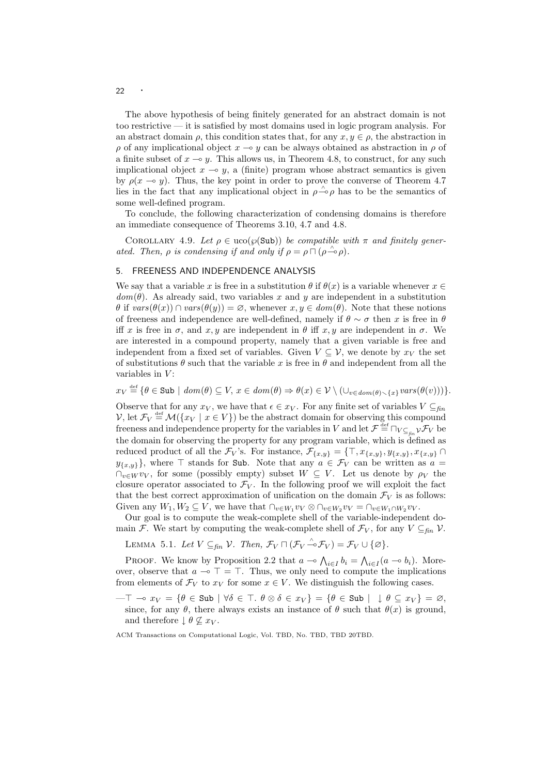The above hypothesis of being finitely generated for an abstract domain is not too restrictive — it is satisfied by most domains used in logic program analysis. For an abstract domain  $\rho$ , this condition states that, for any  $x, y \in \rho$ , the abstraction in  $\rho$  of any implicational object  $x \to y$  can be always obtained as abstraction in  $\rho$  of a finite subset of  $x \to y$ . This allows us, in Theorem 4.8, to construct, for any such implicational object  $x \to y$ , a (finite) program whose abstract semantics is given by  $\rho(x \to y)$ . Thus, the key point in order to prove the converse of Theorem 4.7 lies in the fact that any implicational object in  $\rho \stackrel{\wedge}{\sim} \rho$  has to be the semantics of some well-defined program.

To conclude, the following characterization of condensing domains is therefore an immediate consequence of Theorems 3.10, 4.7 and 4.8.

COROLLARY 4.9. Let  $\rho \in \text{uco}(\wp(\text{Sub}))$  be compatible with  $\pi$  and finitely generated. Then,  $\rho$  is condensing if and only if  $\rho = \rho \cap (\rho \stackrel{\wedge}{\multimap} \rho)$ .

# 5. FREENESS AND INDEPENDENCE ANALYSIS

We say that a variable x is free in a substitution  $\theta$  if  $\theta(x)$  is a variable whenever  $x \in \mathbb{R}$  $dom(\theta)$ . As already said, two variables x and y are independent in a substitution  $\theta$  if  $vars(\theta(x)) \cap vars(\theta(y)) = \emptyset$ , whenever  $x, y \in dom(\theta)$ . Note that these notions of freeness and independence are well-defined, namely if  $\theta \sim \sigma$  then x is free in  $\theta$ iff x is free in  $\sigma$ , and x, y are independent in  $\theta$  iff x, y are independent in  $\sigma$ . We are interested in a compound property, namely that a given variable is free and independent from a fixed set of variables. Given  $V \subseteq V$ , we denote by  $x_V$  the set of substitutions  $\theta$  such that the variable x is free in  $\theta$  and independent from all the variables in  $V$ :

 $x_V \stackrel{\text{def}}{=} \{ \theta \in \text{Sub} \mid \text{dom}(\theta) \subseteq V, x \in \text{dom}(\theta) \Rightarrow \theta(x) \in V \setminus (\cup_{v \in \text{dom}(\theta) \setminus \{x\}} \text{vars}(\theta(v))) \}.$ 

Observe that for any  $x_V$ , we have that  $\epsilon \in x_V$ . For any finite set of variables  $V \subseteq_{\text{fin}}$ V, let  $\mathcal{F}_V \stackrel{\text{def}}{=} \mathcal{M}(\{x_V \mid x \in V\})$  be the abstract domain for observing this compound freeness and independence property for the variables in V and let  $\mathcal{F} \stackrel{\text{def}}{=} \Box_{V \subseteq_{fin} V} \mathcal{F}_V$  be the domain for observing the property for any program variable, which is defined as reduced product of all the  $\mathcal{F}_V$ 's. For instance,  $\mathcal{F}_{\{x,y\}} = \{\top, x_{\{x,y\}}, y_{\{x,y\}}, x_{\{x,y\}}\cap$  $y_{\{x,y\}}$ , where  $\top$  stands for Sub. Note that any  $a \in \mathcal{F}_V$  can be written as  $a =$  $\bigcap_{v\in W}v_V$ , for some (possibly empty) subset  $W\subseteq V$ . Let us denote by  $\rho_V$  the closure operator associated to  $\mathcal{F}_V$ . In the following proof we will exploit the fact that the best correct approximation of unification on the domain  $\mathcal{F}_V$  is as follows: Given any  $W_1, W_2 \subseteq V$ , we have that  $\bigcap_{v \in W_1} v_V \otimes \bigcap_{v \in W_2} v_V = \bigcap_{v \in W_1 \cap W_2} v_V$ .

Our goal is to compute the weak-complete shell of the variable-independent domain F. We start by computing the weak-complete shell of  $\mathcal{F}_V$ , for any  $V \subseteq_{\text{fin}} V$ .

LEMMA 5.1. Let  $V \subseteq_{fin} \mathcal{V}$ . Then,  $\mathcal{F}_V \sqcap (\mathcal{F}_V \stackrel{\wedge}{\rightarrow} \mathcal{F}_V) = \mathcal{F}_V \cup \{\emptyset\}.$ 

PROOF. We know by Proposition 2.2 that  $a \to \bigwedge_{i \in I} b_i = \bigwedge_{i \in I} (a \to b_i)$ . Moreover, observe that  $a \to \top = \top$ . Thus, we only need to compute the implications from elements of  $\mathcal{F}_V$  to  $x_V$  for some  $x \in V$ . We distinguish the following cases.

 $-\top \multimap x_V = \{\theta \in \text{Sub} \mid \forall \delta \in \top \ldotp \theta \otimes \delta \in x_V\} = \{\theta \in \text{Sub} \mid \bot \theta \subseteq x_V\} = \varnothing,$ since, for any  $\theta$ , there always exists an instance of  $\theta$  such that  $\theta(x)$  is ground, and therefore  $\theta \not\subseteq x_V$ .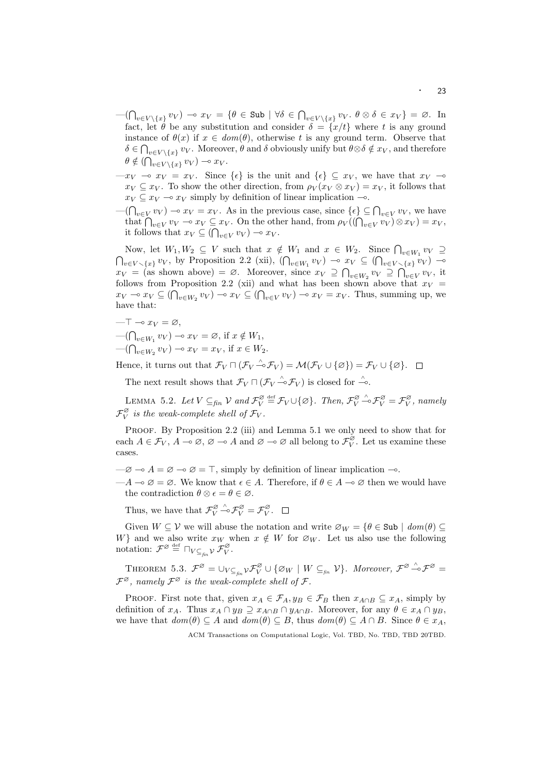- $-(\bigcap_{v\in V\setminus\{x\}} v_V) \multimap x_V = \{\theta \in \text{Sub} \mid \forall \delta \in \bigcap_{v\in V\setminus\{x\}} v_V. \ \theta \otimes \delta \in x_V\} = \varnothing.$  In fact, let  $\hat{\theta}$  be any substitution and consider  $\delta = \{x/t\}$  where t is any ground instance of  $\theta(x)$  if  $x \in dom(\theta)$ , otherwise t is any ground term. Observe that  $\delta \in \bigcap_{v \in V \setminus \{x\}} v_V$ . Moreover,  $\theta$  and  $\delta$  obviously unify but  $\theta \otimes \delta \notin x_V$ , and therefore  $\theta \notin (\bigcap_{v \in V \setminus \{x\}} v_V) \multimap x_V.$
- $-x_V x_V = x_V$ . Since  $\{\epsilon\}$  is the unit and  $\{\epsilon\} \subseteq x_V$ , we have that  $x_V \infty$  $x_V \subseteq x_V$ . To show the other direction, from  $\rho_V(x_V \otimes x_V) = x_V$ , it follows that  $x_V \subseteq x_V \longrightarrow x_V$  simply by definition of linear implication  $\multimap$ .
- $-(\bigcap_{v\in V} v_V) \to x_V = x_V$ . As in the previous case, since  $\{\epsilon\} \subseteq \bigcap_{v\in V} v_V$ , we have that  $\bigcap_{v\in V} v_V \multimap x_V \subseteq x_V$ . On the other hand, from  $\rho_V((\bigcap_{v\in V} v_V) \otimes x_V) = x_V$ , it follows that  $x_V \subseteq (\bigcap_{v \in V} v_V) \multimap x_V$ .

Now, let  $W_1, W_2 \subseteq V$  such that  $x \notin W_1$  and  $x \in W_2$ . Since  $\bigcap_{v \in W_1} v_V \supseteq$  $\bigcap_{v\in V\setminus\{x\}} v_V$ , by Proposition 2.2 (xii),  $(\bigcap_{v\in W_1} v_V) \multimap x_V \subseteq (\bigcap_{v\in V\setminus\{x\}} v_V) \multimap$  $x_V = (\text{as shown above}) = \emptyset.$  Moreover, since  $x_V \supseteq \bigcap_{v \in W_2} v_V \supseteq \bigcap_{v \in V} v_V$ , it follows from Proposition 2.2 (xii) and what has been shown above that  $x_V$  =  $x_V \multimap x_V \subseteq (\bigcap_{v \in W_2} v_V) \multimap x_V \subseteq (\bigcap_{v \in V} v_V) \multimap x_V = x_V$ . Thus, summing up, we have that:

$$
-\top \multimap x_V = \varnothing,
$$

 $-$ ( $\bigcap_{v \in W_1} v_V$ )  $\multimap x_V = \varnothing$ , if  $x \notin W_1$ ,  $\bigcap_{v \in W_2} v_V$ )  $\multimap x_V = x_V$ , if  $x \in W_2$ .

Hence, it turns out that  $\mathcal{F}_V \cap (\mathcal{F}_V \xrightarrow{\wedge} \mathcal{F}_V) = \mathcal{M}(\mathcal{F}_V \cup \{ \varnothing \}) = \mathcal{F}_V \cup \{ \varnothing \}.$ 

The next result shows that  $\mathcal{F}_V \sqcap (\mathcal{F}_V \xrightarrow{\wedge} \mathcal{F}_V)$  is closed for  $\xrightarrow{\wedge}$ .

LEMMA 5.2. Let  $V \subseteq_{fin} \mathcal{V}$  and  $\mathcal{F}_V^{\varnothing} \stackrel{\text{def}}{=} \mathcal{F}_V \cup \{\varnothing\}$ . Then,  $\mathcal{F}_V^{\varnothing} \stackrel{\wedge}{\sim} \mathcal{F}_V^{\varnothing} = \mathcal{F}_V^{\varnothing}$ , namely  $\mathcal{F}_V^{\varnothing}$  is the weak-complete shell of  $\mathcal{F}_V$ .

PROOF. By Proposition 2.2 (iii) and Lemma 5.1 we only need to show that for each  $A \in \mathcal{F}_V$ ,  $A \to \emptyset$ ,  $\emptyset \to A$  and  $\emptyset \to \emptyset$  all belong to  $\mathcal{F}_V^{\emptyset}$ . Let us examine these cases.

 $-\varnothing \to A = \varnothing \to \varnothing = \top$ , simply by definition of linear implication  $-\circ$ .

 $-A \to \emptyset = \emptyset$ . We know that  $\epsilon \in A$ . Therefore, if  $\theta \in A \to \emptyset$  then we would have the contradiction  $\theta \otimes \epsilon = \theta \in \varnothing$ .

Thus, we have that  $\mathcal{F}_V^{\varnothing} \overset{\wedge}{\rightarrow} \mathcal{F}_V^{\varnothing} = \mathcal{F}_V^{\varnothing}$ .

Given  $W \subseteq V$  we will abuse the notation and write  $\varnothing_W = {\theta \in \text{Sub} \mid dom(\theta) \subseteq \theta}$ W} and we also write  $x_W$  when  $x \notin W$  for  $\varnothing_W$ . Let us also use the following notation:  $\mathcal{F}^{\varnothing} \stackrel{\text{def}}{=} \bigcap_{V \subseteq_{fin} \mathcal{V}} \mathcal{F}_{V}^{\varnothing}.$ 

THEOREM 5.3.  $\mathcal{F}^{\varnothing} = \cup_{V \subseteq_{\text{fin}}} \mathcal{Y}^{\varnothing} \cup \{ \varnothing_W \mid W \subseteq_{\text{fin}} \mathcal{V} \}$ . Moreover,  $\mathcal{F}^{\varnothing} \stackrel{\wedge}{\neg} \mathcal{F}^{\varnothing} =$  $\mathcal{F}^{\varnothing}$ , namely  $\mathcal{F}^{\varnothing}$  is the weak-complete shell of  $\mathcal{F}$ .

PROOF. First note that, given  $x_A \in \mathcal{F}_A$ ,  $y_B \in \mathcal{F}_B$  then  $x_{A \cap B} \subseteq x_A$ , simply by definition of  $x_A$ . Thus  $x_A \cap y_B \supseteq x_{A \cap B} \cap y_{A \cap B}$ . Moreover, for any  $\theta \in x_A \cap y_B$ , we have that  $dom(\theta) \subseteq A$  and  $dom(\theta) \subseteq B$ , thus  $dom(\theta) \subseteq A \cap B$ . Since  $\theta \in x_A$ ,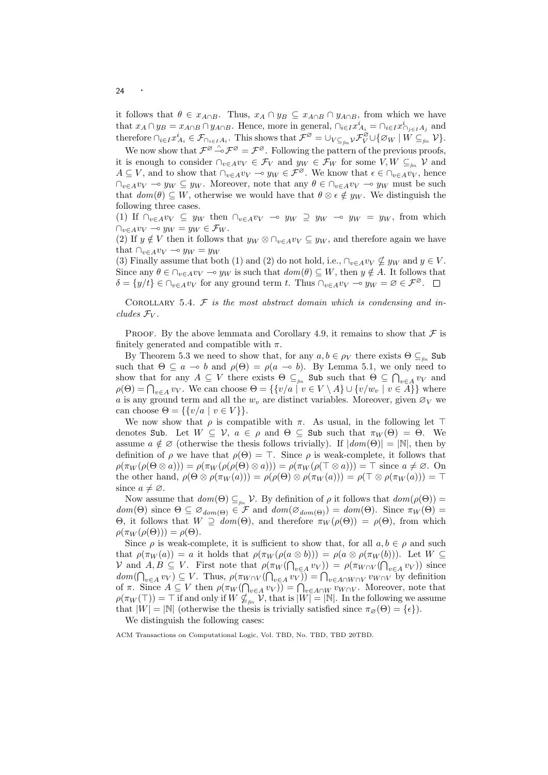it follows that  $\theta \in x_{A \cap B}$ . Thus,  $x_A \cap y_B \subseteq x_{A \cap B} \cap y_{A \cap B}$ , from which we have that  $x_A \cap y_B = x_{A \cap B} \cap y_{A \cap B}$ . Hence, more in general,  $\bigcap_{i \in I} x_{A_i}^i = \bigcap_{i \in I} x_{A_i}^i$  and therefore  $\bigcap_{i\in I}x_{A_i}^i\in\mathcal{F}_{\bigcap_{i\in I}A_i}$ . This shows that  $\mathcal{F}^{\varnothing}=\bigcup_{V\subseteq_{fin}}\mathcal{V}\mathcal{F}_{V}^{\varnothing}\cup\{\varnothing_W\mid W\subseteq_{fin}^i\mathcal{V}\}.$ 

We now show that  $\mathcal{F}^{\varnothing} \overset{\wedge}{\rightarrow} \mathcal{F}^{\varnothing} = \mathcal{F}^{\varnothing}$ . Following the pattern of the previous proofs, it is enough to consider  $\cap_{v\in A}v_V \in \mathcal{F}_V$  and  $y_W \in \mathcal{F}_W$  for some  $V, W \subseteq_{\text{fin}} V$  and  $A \subseteq V$ , and to show that  $\cap_{v \in A} v_V \multimap y_W \in \mathcal{F}^{\emptyset}$ . We know that  $\epsilon \in \cap_{v \in A} v_V$ , hence  $\bigcap_{v\in A}v_V \bigcirc y_W \subseteq y_W$ . Moreover, note that any  $\theta \in \bigcap_{v\in A}v_V \to y_W$  must be such that  $dom(\theta) \subseteq W$ , otherwise we would have that  $\theta \otimes \epsilon \notin y_W$ . We distinguish the following three cases.

(1) If  $\bigcap_{v\in A}v_V\subseteq y_W$  then  $\bigcap_{v\in A}v_V\multimap y_W\supseteq y_W\multimap y_W\supseteq y_W$ , from which  $\bigcap_{v \in A} v_V \multimap y_W = y_W \in \mathcal{F}_W$ .

(2) If  $y \notin V$  then it follows that  $y_W \otimes \bigcap_{v \in A} v_V \subseteq y_W$ , and therefore again we have that  $\bigcap_{v \in A} v_V \multimap y_W = y_W$ 

(3) Finally assume that both (1) and (2) do not hold, i.e.,  $\bigcap_{v \in A} v_V \nsubseteq y_W$  and  $y \in V$ . Since any  $\theta \in \bigcap_{v \in A} v_V \to y_W$  is such that  $dom(\theta) \subseteq W$ , then  $y \notin A$ . It follows that  $\delta = \{y/t\} \in \bigcap_{v \in A} v_V$  for any ground term t. Thus  $\bigcap_{v \in A} v_V \to y_W = \emptyset \in \mathcal{F}^{\emptyset}$ .  $\Box$ 

COROLLARY 5.4.  $\mathcal F$  is the most abstract domain which is condensing and includes  $\mathcal{F}_V$ .

PROOF. By the above lemmata and Corollary 4.9, it remains to show that  $\mathcal F$  is finitely generated and compatible with  $\pi$ .

By Theorem 5.3 we need to show that, for any  $a, b \in \rho_V$  there exists  $\Theta \subseteq_{\text{fin}}$  Sub such that  $\Theta \subseteq a \multimap b$  and  $\rho(\Theta) = \rho(a \multimap b)$ . By Lemma 5.1, we only need to show that for any  $A \subseteq V$  there exists  $\Theta \subseteq_{fin}$  Sub such that  $\Theta \subseteq \bigcap_{v \in A} v_V$  and  $\rho(\Theta) = \bigcap_{v \in A} v_V$ . We can choose  $\Theta = \{ \{v/a \mid v \in V \setminus A\} \cup \{v/w_v \mid v \in A\} \}$  where a is any ground term and all the  $w<sub>v</sub>$  are distinct variables. Moreover, given  $\varnothing_V$  we can choose  $\Theta = \{ \{v/a \mid v \in V \} \}.$ 

We now show that  $\rho$  is compatible with  $\pi$ . As usual, in the following let  $\top$ denotes Sub. Let  $W \subseteq V$ ,  $a \in \rho$  and  $\Theta \subseteq$  Sub such that  $\pi_W(\Theta) = \Theta$ . We assume  $a \notin \mathcal{O}$  (otherwise the thesis follows trivially). If  $|dom(\Theta)| = |\mathbb{N}|$ , then by definition of  $\rho$  we have that  $\rho(\Theta) = \top$ . Since  $\rho$  is weak-complete, it follows that  $\rho(\pi_W(\rho(\Theta \otimes a))) = \rho(\pi_W(\rho(\rho(\Theta \otimes a))) = \rho(\pi_W(\rho(\top \otimes a))) = \top$  since  $a \neq \emptyset$ . On the other hand,  $\rho(\Theta \otimes \rho(\pi_W(a))) = \rho(\rho(\Theta) \otimes \rho(\pi_W(a))) = \rho(\top \otimes \rho(\pi_W(a))) = \top$ since  $a \neq \emptyset$ .

Now assume that  $dom(\Theta) \subseteq_{\text{fin}} \mathcal{V}$ . By definition of  $\rho$  it follows that  $dom(\rho(\Theta)) =$  $dom(\Theta)$  since  $\Theta \subseteq \mathcal{O}_{dom(\Theta)} \in \mathcal{F}$  and  $dom(\mathcal{O}_{dom(\Theta)}) = dom(\Theta)$ . Since  $\pi_W(\Theta) =$ Θ, it follows that  $W ⊇ d*om*(Θ)$ , and therefore  $\pi_W(\rho(\Theta)) = \rho(\Theta)$ , from which  $\rho(\pi_W(\rho(\Theta))) = \rho(\Theta).$ 

Since  $\rho$  is weak-complete, it is sufficient to show that, for all  $a, b \in \rho$  and such that  $\rho(\pi_W(a)) = a$  it holds that  $\rho(\pi_W(\rho(a \otimes b))) = \rho(a \otimes \rho(\pi_W(b)))$ . Let  $W \subseteq$ V and  $A, B \subseteq V$ . First note that  $\rho(\pi_W(\bigcap_{v \in A} v_V)) = \rho(\pi_{W \cap V}(\bigcap_{v \in A} v_V))$  since  $dom(\bigcap_{v\in A} v_V) \subseteq V$ . Thus,  $\rho(\pi_{W\cap V}(\bigcap_{v\in A} v_V)) = \bigcap_{v\in A\cap W\cap V} v_{W\cap V}$  by definition of  $\pi$ . Since  $A \subseteq V$  then  $\rho(\pi_W(\bigcap_{v \in A} v_V)) = \bigcap_{v \in A \cap W} v_{W \cap V}$ . Moreover, note that  $\rho(\pi_W(\top)) = \top$  if and only if  $W \not\subseteq_{\text{fin}} V$ , that is  $|W| = |N|$ . In the following we assume that  $|W| = |\mathbb{N}|$  (otherwise the thesis is trivially satisfied since  $\pi_{\varnothing}(\Theta) = {\epsilon}$ ).

We distinguish the following cases: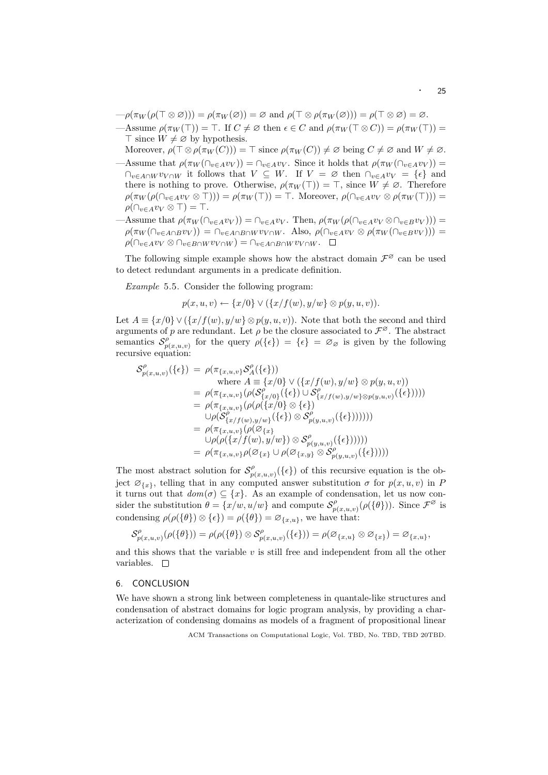- $-\rho(\pi_W(\rho(\top \otimes \varnothing))) = \rho(\pi_W(\varnothing)) = \varnothing$  and  $\rho(\top \otimes \rho(\pi_W(\varnothing))) = \rho(\top \otimes \varnothing) = \varnothing$ .
- —Assume  $\rho(\pi_W(\top)) = \top$ . If  $C \neq \emptyset$  then  $\epsilon \in C$  and  $\rho(\pi_W(\top \otimes C)) = \rho(\pi_W(\top)) =$  $\top$  since  $W \neq \emptyset$  by hypothesis.

Moreover,  $\rho(\top \otimes \rho(\pi_W(C))) = \top$  since  $\rho(\pi_W(C)) \neq \emptyset$  being  $C \neq \emptyset$  and  $W \neq \emptyset$ . —Assume that  $\rho(\pi_W(\bigcap_{v\in A}v_V)) = \bigcap_{v\in A}v_V$ . Since it holds that  $\rho(\pi_W(\bigcap_{v\in A}v_V))$  $\bigcap_{v\in A\cap W}v_{V\cap W}$  it follows that  $V\subseteq W$ . If  $V=\emptyset$  then  $\bigcap_{v\in A}v_{V}=\{\epsilon\}$  and there is nothing to prove. Otherwise,  $\rho(\pi_W(\top)) = \top$ , since  $W \neq \emptyset$ . Therefore  $\rho(\pi_W(\rho(\cap_{v\in A}v_V\otimes \top)))=\rho(\pi_W(\top))=\top$ . Moreover,  $\rho(\cap_{v\in A}v_V\otimes \rho(\pi_W(\top)))=$  $\rho(\bigcap_{v\in A}v_V\otimes\top)=\top.$ 

—Assume that  $\rho(\pi_W(\bigcap_{v\in A}v_V)) = \bigcap_{v\in A}v_V$ . Then,  $\rho(\pi_W(\rho(\bigcap_{v\in A}v_V\otimes \bigcap_{v\in B}v_V)))$  $\rho(\pi_W(\bigcap_{v\in A\cap B}v_V)) = \bigcap_{v\in A\cap B\cap W}v_{V\cap W}$ . Also,  $\rho(\bigcap_{v\in A}v_V\otimes \rho(\pi_W(\bigcap_{v\in B}v_V)))$  $\rho(\bigcap_{v\in A}v_V\otimes \bigcap_{v\in B\cap W}v_{V\cap W})=\bigcap_{v\in A\cap B\cap W}v_{V\cap W}$ .

The following simple example shows how the abstract domain  $\mathcal{F}^{\varnothing}$  can be used to detect redundant arguments in a predicate definition.

Example 5.5. Consider the following program:

$$
p(x, u, v) \leftarrow \{x/0\} \vee (\{x/f(w), y/w\} \otimes p(y, u, v)).
$$

Let  $A = \{x/0\} \vee (\{x/f(w), y/w\} \otimes p(y, u, v))$ . Note that both the second and third arguments of p are redundant. Let  $\rho$  be the closure associated to  $\mathcal{F}^{\varnothing}$ . The abstract semantics  $\mathcal{S}_n^{\rho}$  $p(x,u,v)$  for the query  $\rho(\{\epsilon\}) = {\epsilon} = \varnothing_{\varnothing}$  is given by the following recursive equation:

$$
\begin{split} \mathcal{S}^{\rho}_{p(x,u,v)}(\{\epsilon\}) &= \rho(\pi_{\{x,u,v\}}\mathcal{S}^{\rho}_{A}(\{\epsilon\})) \\ & \text{where } A \equiv \{x/0\} \vee (\{x/f(w), y/w\} \otimes p(y,u,v)) \\ &= \rho(\pi_{\{x,u,v\}}(\rho(\mathcal{S}^{\rho}_{\{x/0\}}(\{\epsilon\}) \cup \mathcal{S}^{\rho}_{\{x/f(w),y/w\} \otimes p(y,u,v)}(\{\epsilon\})))) \\ &= \rho(\pi_{\{x,u,v\}}(\rho(\rho(\{x/0\} \otimes \{\epsilon\})) \\ & \cup \rho(\mathcal{S}^{\rho}_{\{x/f(w),y/w\}}(\{\epsilon\}) \otimes \mathcal{S}^{\rho}_{p(y,u,v)}(\{\epsilon\})))))) \\ &= \rho(\pi_{\{x,u,v\}}(\rho(\mathcal{S}_{\{x\}}(x)) \otimes \mathcal{S}^{\rho}_{p(y,u,v)}(\{\epsilon\})))) \\ &= \rho(\pi_{\{x,u,v\}}\rho(\mathcal{S}_{\{x\}} \cup \rho(\mathcal{S}_{\{x,y\}} \otimes \mathcal{S}^{\rho}_{p(y,u,v)}(\{\epsilon\})))) \\ &= \rho(\pi_{\{x,u,v\}}\rho(\mathcal{S}_{\{x\}} \cup \rho(\mathcal{S}_{\{x,y\}} \otimes \mathcal{S}^{\rho}_{p(y,u,v)}(\{\epsilon\})))) \end{split}
$$

The most abstract solution for  $S_n^{\rho}$  $p_{p(x,u,v)}^{\rho}(\{\epsilon\})$  of this recursive equation is the object  $\varnothing_{\{x\}}$ , telling that in any computed answer substitution  $\sigma$  for  $p(x, u, v)$  in P it turns out that  $dom(\sigma) \subseteq \{x\}$ . As an example of condensation, let us now consider the substitution  $\theta = \{x/w, u/w\}$  and compute  $S_n^{\rho}$  $\mathcal{P}_{p(x,u,v)}^{\rho}(\rho(\{\theta\})).$  Since  $\mathcal{F}^{\varnothing}$  is condensing  $\rho(\rho({\theta}) \otimes {\epsilon}) = \rho({\theta}) = \varnothing_{\{x,u\}}$ , we have that:

$$
\mathcal{S}_{p(x,u,v)}^{\rho}(\rho(\{\theta\}))=\rho(\rho(\{\theta\})\otimes\mathcal{S}_{p(x,u,v)}^{\rho}(\{\epsilon\}))=\rho(\varnothing_{\{x,u\}}\otimes\varnothing_{\{x\}})=\varnothing_{\{x,u\}},
$$

and this shows that the variable  $v$  is still free and independent from all the other variables.  $\square$ 

# 6. CONCLUSION

We have shown a strong link between completeness in quantale-like structures and condensation of abstract domains for logic program analysis, by providing a characterization of condensing domains as models of a fragment of propositional linear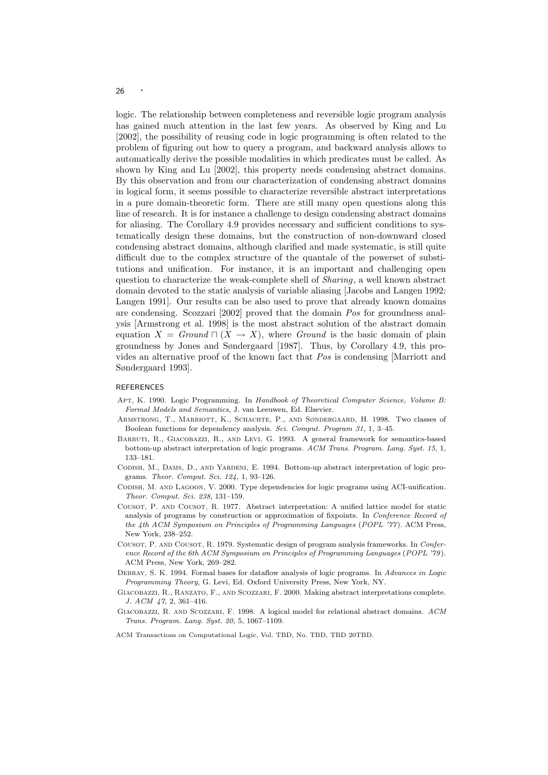logic. The relationship between completeness and reversible logic program analysis has gained much attention in the last few years. As observed by King and Lu [2002], the possibility of reusing code in logic programming is often related to the problem of figuring out how to query a program, and backward analysis allows to automatically derive the possible modalities in which predicates must be called. As shown by King and Lu [2002], this property needs condensing abstract domains. By this observation and from our characterization of condensing abstract domains in logical form, it seems possible to characterize reversible abstract interpretations in a pure domain-theoretic form. There are still many open questions along this line of research. It is for instance a challenge to design condensing abstract domains for aliasing. The Corollary 4.9 provides necessary and sufficient conditions to systematically design these domains, but the construction of non-downward closed condensing abstract domains, although clarified and made systematic, is still quite difficult due to the complex structure of the quantale of the powerset of substitutions and unification. For instance, it is an important and challenging open question to characterize the weak-complete shell of Sharing, a well known abstract domain devoted to the static analysis of variable aliasing [Jacobs and Langen 1992; Langen 1991]. Our results can be also used to prove that already known domains are condensing. Scozzari [2002] proved that the domain Pos for groundness analysis [Armstrong et al. 1998] is the most abstract solution of the abstract domain equation  $X = Ground \sqcap (X \rightarrow X)$ , where *Ground* is the basic domain of plain groundness by Jones and Søndergaard [1987]. Thus, by Corollary 4.9, this provides an alternative proof of the known fact that Pos is condensing [Marriott and Søndergaard 1993].

## REFERENCES

- Apt, K. 1990. Logic Programming. In Handbook of Theoretical Computer Science, Volume B: Formal Models and Semantics, J. van Leeuwen, Ed. Elsevier.
- Armstrong, T., Marriott, K., Schachte, P., and Søndergaard, H. 1998. Two classes of Boolean functions for dependency analysis. Sci. Comput. Program 31, 1, 3–45.
- Barbuti, R., Giacobazzi, R., and Levi, G. 1993. A general framework for semantics-based bottom-up abstract interpretation of logic programs. ACM Trans. Program. Lang. Syst. 15, 1, 133–181.
- Codish, M., Dams, D., and Yardeni, E. 1994. Bottom-up abstract interpretation of logic programs. Theor. Comput. Sci. 124, 1, 93–126.
- Codish, M. and Lagoon, V. 2000. Type dependencies for logic programs using ACI-unification. Theor. Comput. Sci. 238, 131–159.
- Cousot, P. and Cousot, R. 1977. Abstract interpretation: A unified lattice model for static analysis of programs by construction or approximation of fixpoints. In Conference Record of the 4th ACM Symposium on Principles of Programming Languages (POPL '77). ACM Press, New York, 238–252.
- Cousot, P. and Cousot, R. 1979. Systematic design of program analysis frameworks. In Conference Record of the 6th ACM Symposium on Principles of Programming Languages (POPL '79). ACM Press, New York, 269–282.
- DEBRAY, S. K. 1994. Formal bases for dataflow analysis of logic programs. In Advances in Logic Programming Theory, G. Levi, Ed. Oxford University Press, New York, NY.
- GIACOBAZZI, R., RANZATO, F., AND SCOZZARI, F. 2000. Making abstract interpretations complete. J. ACM 47, 2, 361–416.
- Giacobazzi, R. and Scozzari, F. 1998. A logical model for relational abstract domains. ACM Trans. Program. Lang. Syst. 20, 5, 1067–1109.